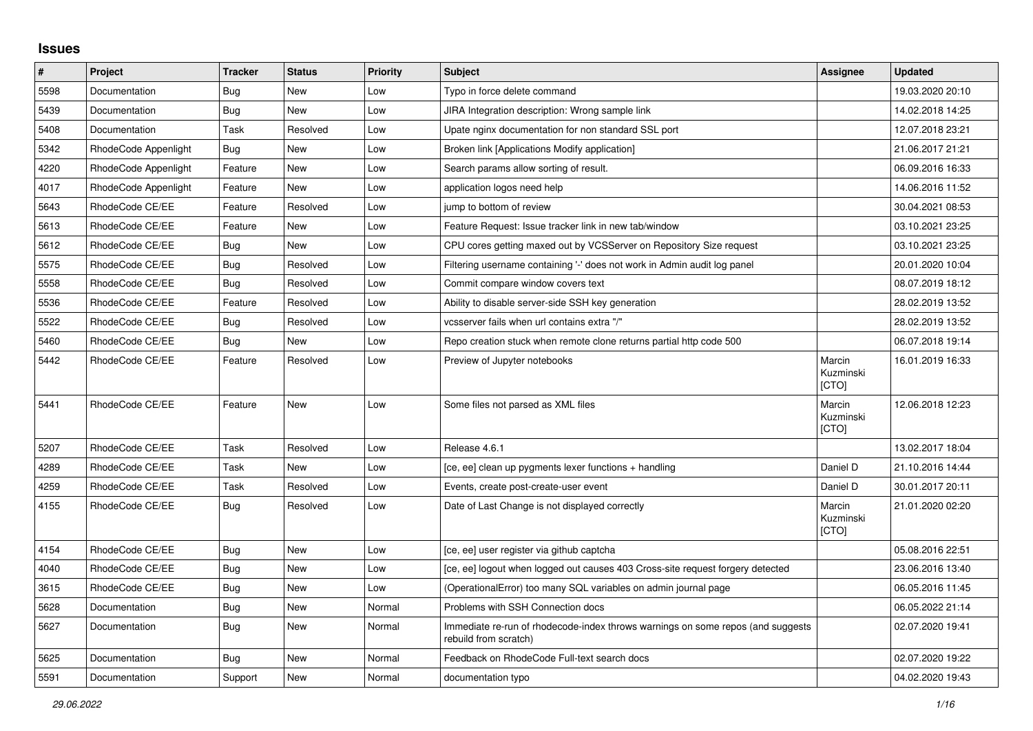## **Issues**

| $\pmb{\#}$ | Project              | <b>Tracker</b> | <b>Status</b> | <b>Priority</b> | <b>Subject</b>                                                                                           | Assignee                            | <b>Updated</b>   |
|------------|----------------------|----------------|---------------|-----------------|----------------------------------------------------------------------------------------------------------|-------------------------------------|------------------|
| 5598       | Documentation        | Bug            | New           | Low             | Typo in force delete command                                                                             |                                     | 19.03.2020 20:10 |
| 5439       | Documentation        | <b>Bug</b>     | New           | Low             | JIRA Integration description: Wrong sample link                                                          |                                     | 14.02.2018 14:25 |
| 5408       | Documentation        | Task           | Resolved      | Low             | Upate nginx documentation for non standard SSL port                                                      |                                     | 12.07.2018 23:21 |
| 5342       | RhodeCode Appenlight | <b>Bug</b>     | New           | Low             | Broken link [Applications Modify application]                                                            |                                     | 21.06.2017 21:21 |
| 4220       | RhodeCode Appenlight | Feature        | New           | Low             | Search params allow sorting of result.                                                                   |                                     | 06.09.2016 16:33 |
| 4017       | RhodeCode Appenlight | Feature        | <b>New</b>    | Low             | application logos need help                                                                              |                                     | 14.06.2016 11:52 |
| 5643       | RhodeCode CE/EE      | Feature        | Resolved      | Low             | jump to bottom of review                                                                                 |                                     | 30.04.2021 08:53 |
| 5613       | RhodeCode CE/EE      | Feature        | New           | Low             | Feature Request: Issue tracker link in new tab/window                                                    |                                     | 03.10.2021 23:25 |
| 5612       | RhodeCode CE/EE      | <b>Bug</b>     | New           | Low             | CPU cores getting maxed out by VCSServer on Repository Size request                                      |                                     | 03.10.2021 23:25 |
| 5575       | RhodeCode CE/EE      | Bug            | Resolved      | Low             | Filtering username containing '-' does not work in Admin audit log panel                                 |                                     | 20.01.2020 10:04 |
| 5558       | RhodeCode CE/EE      | Bug            | Resolved      | Low             | Commit compare window covers text                                                                        |                                     | 08.07.2019 18:12 |
| 5536       | RhodeCode CE/EE      | Feature        | Resolved      | Low             | Ability to disable server-side SSH key generation                                                        |                                     | 28.02.2019 13:52 |
| 5522       | RhodeCode CE/EE      | Bug            | Resolved      | Low             | vcsserver fails when url contains extra "/"                                                              |                                     | 28.02.2019 13:52 |
| 5460       | RhodeCode CE/EE      | <b>Bug</b>     | New           | Low             | Repo creation stuck when remote clone returns partial http code 500                                      |                                     | 06.07.2018 19:14 |
| 5442       | RhodeCode CE/EE      | Feature        | Resolved      | Low             | Preview of Jupyter notebooks                                                                             | Marcin<br>Kuzminski<br>[CTO]        | 16.01.2019 16:33 |
| 5441       | RhodeCode CE/EE      | Feature        | New           | Low             | Some files not parsed as XML files                                                                       | Marcin<br>Kuzminski<br>[CTO]        | 12.06.2018 12:23 |
| 5207       | RhodeCode CE/EE      | Task           | Resolved      | Low             | Release 4.6.1                                                                                            |                                     | 13.02.2017 18:04 |
| 4289       | RhodeCode CE/EE      | Task           | New           | Low             | [ce, ee] clean up pygments lexer functions + handling                                                    | Daniel D                            | 21.10.2016 14:44 |
| 4259       | RhodeCode CE/EE      | Task           | Resolved      | Low             | Events, create post-create-user event                                                                    | Daniel D                            | 30.01.2017 20:11 |
| 4155       | RhodeCode CE/EE      | Bug            | Resolved      | Low             | Date of Last Change is not displayed correctly                                                           | Marcin<br>Kuzminski<br><b>[CTO]</b> | 21.01.2020 02:20 |
| 4154       | RhodeCode CE/EE      | Bug            | New           | Low             | [ce, ee] user register via github captcha                                                                |                                     | 05.08.2016 22:51 |
| 4040       | RhodeCode CE/EE      | <b>Bug</b>     | New           | Low             | [ce, ee] logout when logged out causes 403 Cross-site request forgery detected                           |                                     | 23.06.2016 13:40 |
| 3615       | RhodeCode CE/EE      | Bug            | New           | Low             | (OperationalError) too many SQL variables on admin journal page                                          |                                     | 06.05.2016 11:45 |
| 5628       | Documentation        | <b>Bug</b>     | New           | Normal          | Problems with SSH Connection docs                                                                        |                                     | 06.05.2022 21:14 |
| 5627       | Documentation        | Bug            | <b>New</b>    | Normal          | Immediate re-run of rhodecode-index throws warnings on some repos (and suggests<br>rebuild from scratch) |                                     | 02.07.2020 19:41 |
| 5625       | Documentation        | Bug            | New           | Normal          | Feedback on RhodeCode Full-text search docs                                                              |                                     | 02.07.2020 19:22 |
| 5591       | Documentation        | Support        | New           | Normal          | documentation typo                                                                                       |                                     | 04.02.2020 19:43 |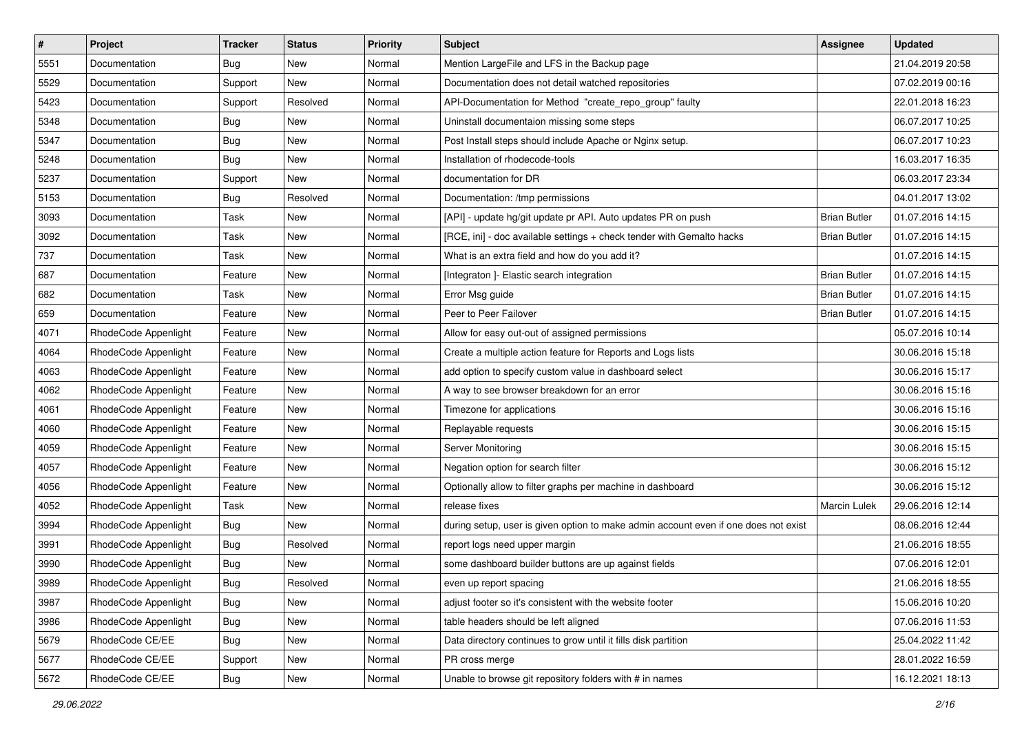| $\vert$ # | Project              | Tracker    | <b>Status</b> | <b>Priority</b> | <b>Subject</b>                                                                      | <b>Assignee</b>     | <b>Updated</b>   |
|-----------|----------------------|------------|---------------|-----------------|-------------------------------------------------------------------------------------|---------------------|------------------|
| 5551      | Documentation        | <b>Bug</b> | New           | Normal          | Mention LargeFile and LFS in the Backup page                                        |                     | 21.04.2019 20:58 |
| 5529      | Documentation        | Support    | New           | Normal          | Documentation does not detail watched repositories                                  |                     | 07.02.2019 00:16 |
| 5423      | Documentation        | Support    | Resolved      | Normal          | API-Documentation for Method "create_repo_group" faulty                             |                     | 22.01.2018 16:23 |
| 5348      | Documentation        | <b>Bug</b> | New           | Normal          | Uninstall documentaion missing some steps                                           |                     | 06.07.2017 10:25 |
| 5347      | Documentation        | Bug        | New           | Normal          | Post Install steps should include Apache or Nginx setup.                            |                     | 06.07.2017 10:23 |
| 5248      | Documentation        | Bug        | New           | Normal          | Installation of rhodecode-tools                                                     |                     | 16.03.2017 16:35 |
| 5237      | Documentation        | Support    | New           | Normal          | documentation for DR                                                                |                     | 06.03.2017 23:34 |
| 5153      | Documentation        | Bug        | Resolved      | Normal          | Documentation: /tmp permissions                                                     |                     | 04.01.2017 13:02 |
| 3093      | Documentation        | Task       | New           | Normal          | [API] - update hg/git update pr API. Auto updates PR on push                        | <b>Brian Butler</b> | 01.07.2016 14:15 |
| 3092      | Documentation        | Task       | New           | Normal          | [RCE, ini] - doc available settings + check tender with Gemalto hacks               | <b>Brian Butler</b> | 01.07.2016 14:15 |
| 737       | Documentation        | Task       | New           | Normal          | What is an extra field and how do you add it?                                       |                     | 01.07.2016 14:15 |
| 687       | Documentation        | Feature    | New           | Normal          | [Integraton ]- Elastic search integration                                           | <b>Brian Butler</b> | 01.07.2016 14:15 |
| 682       | Documentation        | Task       | New           | Normal          | Error Msg guide                                                                     | <b>Brian Butler</b> | 01.07.2016 14:15 |
| 659       | Documentation        | Feature    | New           | Normal          | Peer to Peer Failover                                                               | <b>Brian Butler</b> | 01.07.2016 14:15 |
| 4071      | RhodeCode Appenlight | Feature    | New           | Normal          | Allow for easy out-out of assigned permissions                                      |                     | 05.07.2016 10:14 |
| 4064      | RhodeCode Appenlight | Feature    | New           | Normal          | Create a multiple action feature for Reports and Logs lists                         |                     | 30.06.2016 15:18 |
| 4063      | RhodeCode Appenlight | Feature    | New           | Normal          | add option to specify custom value in dashboard select                              |                     | 30.06.2016 15:17 |
| 4062      | RhodeCode Appenlight | Feature    | New           | Normal          | A way to see browser breakdown for an error                                         |                     | 30.06.2016 15:16 |
| 4061      | RhodeCode Appenlight | Feature    | New           | Normal          | Timezone for applications                                                           |                     | 30.06.2016 15:16 |
| 4060      | RhodeCode Appenlight | Feature    | New           | Normal          | Replayable requests                                                                 |                     | 30.06.2016 15:15 |
| 4059      | RhodeCode Appenlight | Feature    | New           | Normal          | Server Monitoring                                                                   |                     | 30.06.2016 15:15 |
| 4057      | RhodeCode Appenlight | Feature    | New           | Normal          | Negation option for search filter                                                   |                     | 30.06.2016 15:12 |
| 4056      | RhodeCode Appenlight | Feature    | New           | Normal          | Optionally allow to filter graphs per machine in dashboard                          |                     | 30.06.2016 15:12 |
| 4052      | RhodeCode Appenlight | Task       | New           | Normal          | release fixes                                                                       | <b>Marcin Lulek</b> | 29.06.2016 12:14 |
| 3994      | RhodeCode Appenlight | Bug        | New           | Normal          | during setup, user is given option to make admin account even if one does not exist |                     | 08.06.2016 12:44 |
| 3991      | RhodeCode Appenlight | Bug        | Resolved      | Normal          | report logs need upper margin                                                       |                     | 21.06.2016 18:55 |
| 3990      | RhodeCode Appenlight | Bug        | New           | Normal          | some dashboard builder buttons are up against fields                                |                     | 07.06.2016 12:01 |
| 3989      | RhodeCode Appenlight | Bug        | Resolved      | Normal          | even up report spacing                                                              |                     | 21.06.2016 18:55 |
| 3987      | RhodeCode Appenlight | Bug        | New           | Normal          | adjust footer so it's consistent with the website footer                            |                     | 15.06.2016 10:20 |
| 3986      | RhodeCode Appenlight | <b>Bug</b> | New           | Normal          | table headers should be left aligned                                                |                     | 07.06.2016 11:53 |
| 5679      | RhodeCode CE/EE      | Bug        | New           | Normal          | Data directory continues to grow until it fills disk partition                      |                     | 25.04.2022 11:42 |
| 5677      | RhodeCode CE/EE      | Support    | New           | Normal          | PR cross merge                                                                      |                     | 28.01.2022 16:59 |
| 5672      | RhodeCode CE/EE      | <b>Bug</b> | New           | Normal          | Unable to browse git repository folders with # in names                             |                     | 16.12.2021 18:13 |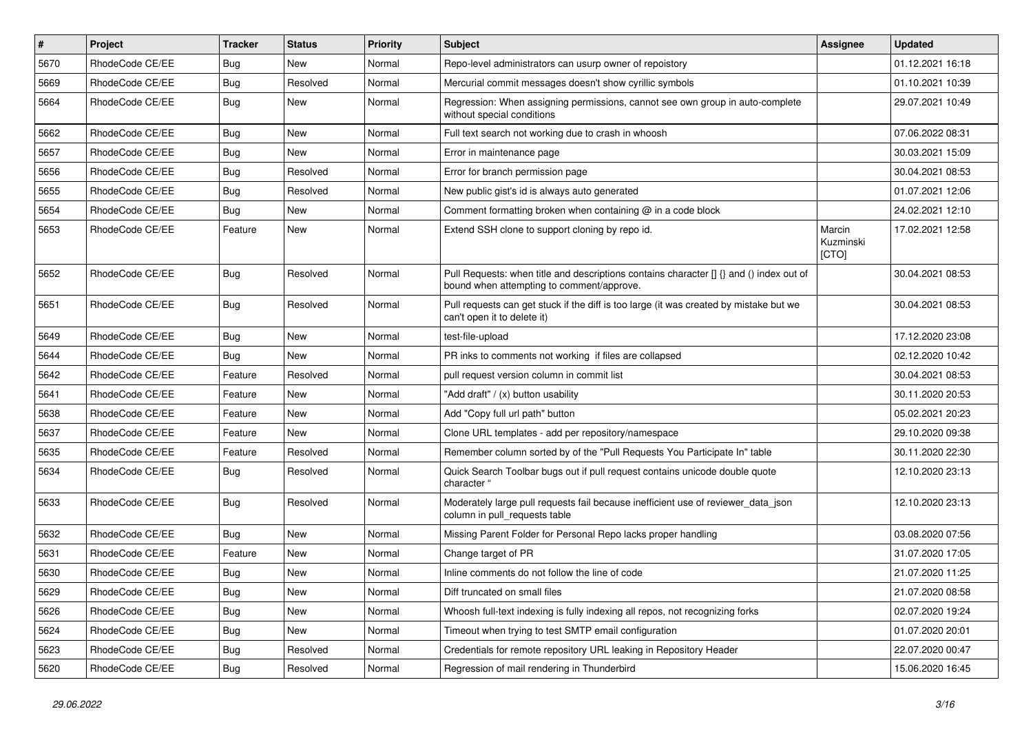| $\sharp$ | Project         | <b>Tracker</b> | <b>Status</b> | Priority | <b>Subject</b>                                                                                                                       | <b>Assignee</b>              | <b>Updated</b>   |
|----------|-----------------|----------------|---------------|----------|--------------------------------------------------------------------------------------------------------------------------------------|------------------------------|------------------|
| 5670     | RhodeCode CE/EE | <b>Bug</b>     | New           | Normal   | Repo-level administrators can usurp owner of repoistory                                                                              |                              | 01.12.2021 16:18 |
| 5669     | RhodeCode CE/EE | <b>Bug</b>     | Resolved      | Normal   | Mercurial commit messages doesn't show cyrillic symbols                                                                              |                              | 01.10.2021 10:39 |
| 5664     | RhodeCode CE/EE | <b>Bug</b>     | New           | Normal   | Regression: When assigning permissions, cannot see own group in auto-complete<br>without special conditions                          |                              | 29.07.2021 10:49 |
| 5662     | RhodeCode CE/EE | <b>Bug</b>     | <b>New</b>    | Normal   | Full text search not working due to crash in whoosh                                                                                  |                              | 07.06.2022 08:31 |
| 5657     | RhodeCode CE/EE | <b>Bug</b>     | <b>New</b>    | Normal   | Error in maintenance page                                                                                                            |                              | 30.03.2021 15:09 |
| 5656     | RhodeCode CE/EE | Bug            | Resolved      | Normal   | Error for branch permission page                                                                                                     |                              | 30.04.2021 08:53 |
| 5655     | RhodeCode CE/EE | Bug            | Resolved      | Normal   | New public gist's id is always auto generated                                                                                        |                              | 01.07.2021 12:06 |
| 5654     | RhodeCode CE/EE | <b>Bug</b>     | New           | Normal   | Comment formatting broken when containing @ in a code block                                                                          |                              | 24.02.2021 12:10 |
| 5653     | RhodeCode CE/EE | Feature        | <b>New</b>    | Normal   | Extend SSH clone to support cloning by repo id.                                                                                      | Marcin<br>Kuzminski<br>[CTO] | 17.02.2021 12:58 |
| 5652     | RhodeCode CE/EE | Bug            | Resolved      | Normal   | Pull Requests: when title and descriptions contains character [] {} and () index out of<br>bound when attempting to comment/approve. |                              | 30.04.2021 08:53 |
| 5651     | RhodeCode CE/EE | <b>Bug</b>     | Resolved      | Normal   | Pull requests can get stuck if the diff is too large (it was created by mistake but we<br>can't open it to delete it)                |                              | 30.04.2021 08:53 |
| 5649     | RhodeCode CE/EE | Bug            | New           | Normal   | test-file-upload                                                                                                                     |                              | 17.12.2020 23:08 |
| 5644     | RhodeCode CE/EE | Bug            | <b>New</b>    | Normal   | PR inks to comments not working if files are collapsed                                                                               |                              | 02.12.2020 10:42 |
| 5642     | RhodeCode CE/EE | Feature        | Resolved      | Normal   | pull request version column in commit list                                                                                           |                              | 30.04.2021 08:53 |
| 5641     | RhodeCode CE/EE | Feature        | <b>New</b>    | Normal   | "Add draft" / (x) button usability                                                                                                   |                              | 30.11.2020 20:53 |
| 5638     | RhodeCode CE/EE | Feature        | <b>New</b>    | Normal   | Add "Copy full url path" button                                                                                                      |                              | 05.02.2021 20:23 |
| 5637     | RhodeCode CE/EE | Feature        | New           | Normal   | Clone URL templates - add per repository/namespace                                                                                   |                              | 29.10.2020 09:38 |
| 5635     | RhodeCode CE/EE | Feature        | Resolved      | Normal   | Remember column sorted by of the "Pull Requests You Participate In" table                                                            |                              | 30.11.2020 22:30 |
| 5634     | RhodeCode CE/EE | <b>Bug</b>     | Resolved      | Normal   | Quick Search Toolbar bugs out if pull request contains unicode double quote<br>character "                                           |                              | 12.10.2020 23:13 |
| 5633     | RhodeCode CE/EE | <b>Bug</b>     | Resolved      | Normal   | Moderately large pull requests fail because inefficient use of reviewer_data_json<br>column in pull_requests table                   |                              | 12.10.2020 23:13 |
| 5632     | RhodeCode CE/EE | <b>Bug</b>     | <b>New</b>    | Normal   | Missing Parent Folder for Personal Repo lacks proper handling                                                                        |                              | 03.08.2020 07:56 |
| 5631     | RhodeCode CE/EE | Feature        | New           | Normal   | Change target of PR                                                                                                                  |                              | 31.07.2020 17:05 |
| 5630     | RhodeCode CE/EE | <b>Bug</b>     | New           | Normal   | Inline comments do not follow the line of code                                                                                       |                              | 21.07.2020 11:25 |
| 5629     | RhodeCode CE/EE | <b>Bug</b>     | New           | Normal   | Diff truncated on small files                                                                                                        |                              | 21.07.2020 08:58 |
| 5626     | RhodeCode CE/EE | <b>Bug</b>     | New           | Normal   | Whoosh full-text indexing is fully indexing all repos, not recognizing forks                                                         |                              | 02.07.2020 19:24 |
| 5624     | RhodeCode CE/EE | <b>Bug</b>     | New           | Normal   | Timeout when trying to test SMTP email configuration                                                                                 |                              | 01.07.2020 20:01 |
| 5623     | RhodeCode CE/EE | Bug            | Resolved      | Normal   | Credentials for remote repository URL leaking in Repository Header                                                                   |                              | 22.07.2020 00:47 |
| 5620     | RhodeCode CE/EE | Bug            | Resolved      | Normal   | Regression of mail rendering in Thunderbird                                                                                          |                              | 15.06.2020 16:45 |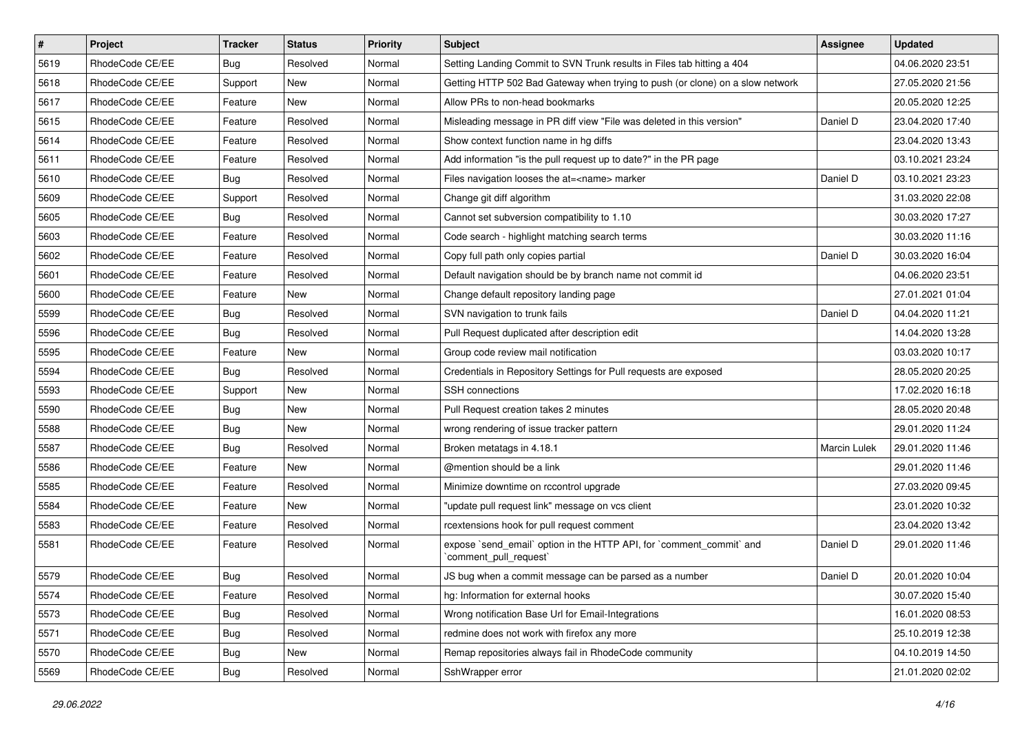| $\pmb{\#}$ | Project         | <b>Tracker</b> | <b>Status</b> | <b>Priority</b> | <b>Subject</b>                                                                                 | <b>Assignee</b> | <b>Updated</b>   |
|------------|-----------------|----------------|---------------|-----------------|------------------------------------------------------------------------------------------------|-----------------|------------------|
| 5619       | RhodeCode CE/EE | Bug            | Resolved      | Normal          | Setting Landing Commit to SVN Trunk results in Files tab hitting a 404                         |                 | 04.06.2020 23:51 |
| 5618       | RhodeCode CE/EE | Support        | <b>New</b>    | Normal          | Getting HTTP 502 Bad Gateway when trying to push (or clone) on a slow network                  |                 | 27.05.2020 21:56 |
| 5617       | RhodeCode CE/EE | Feature        | New           | Normal          | Allow PRs to non-head bookmarks                                                                |                 | 20.05.2020 12:25 |
| 5615       | RhodeCode CE/EE | Feature        | Resolved      | Normal          | Misleading message in PR diff view "File was deleted in this version"                          | Daniel D        | 23.04.2020 17:40 |
| 5614       | RhodeCode CE/EE | Feature        | Resolved      | Normal          | Show context function name in hg diffs                                                         |                 | 23.04.2020 13:43 |
| 5611       | RhodeCode CE/EE | Feature        | Resolved      | Normal          | Add information "is the pull request up to date?" in the PR page                               |                 | 03.10.2021 23:24 |
| 5610       | RhodeCode CE/EE | Bug            | Resolved      | Normal          | Files navigation looses the at= <name> marker</name>                                           | Daniel D        | 03.10.2021 23:23 |
| 5609       | RhodeCode CE/EE | Support        | Resolved      | Normal          | Change git diff algorithm                                                                      |                 | 31.03.2020 22:08 |
| 5605       | RhodeCode CE/EE | Bug            | Resolved      | Normal          | Cannot set subversion compatibility to 1.10                                                    |                 | 30.03.2020 17:27 |
| 5603       | RhodeCode CE/EE | Feature        | Resolved      | Normal          | Code search - highlight matching search terms                                                  |                 | 30.03.2020 11:16 |
| 5602       | RhodeCode CE/EE | Feature        | Resolved      | Normal          | Copy full path only copies partial                                                             | Daniel D        | 30.03.2020 16:04 |
| 5601       | RhodeCode CE/EE | Feature        | Resolved      | Normal          | Default navigation should be by branch name not commit id                                      |                 | 04.06.2020 23:51 |
| 5600       | RhodeCode CE/EE | Feature        | New           | Normal          | Change default repository landing page                                                         |                 | 27.01.2021 01:04 |
| 5599       | RhodeCode CE/EE | Bug            | Resolved      | Normal          | SVN navigation to trunk fails                                                                  | Daniel D        | 04.04.2020 11:21 |
| 5596       | RhodeCode CE/EE | Bug            | Resolved      | Normal          | Pull Request duplicated after description edit                                                 |                 | 14.04.2020 13:28 |
| 5595       | RhodeCode CE/EE | Feature        | New           | Normal          | Group code review mail notification                                                            |                 | 03.03.2020 10:17 |
| 5594       | RhodeCode CE/EE | <b>Bug</b>     | Resolved      | Normal          | Credentials in Repository Settings for Pull requests are exposed                               |                 | 28.05.2020 20:25 |
| 5593       | RhodeCode CE/EE | Support        | <b>New</b>    | Normal          | <b>SSH</b> connections                                                                         |                 | 17.02.2020 16:18 |
| 5590       | RhodeCode CE/EE | Bug            | New           | Normal          | Pull Request creation takes 2 minutes                                                          |                 | 28.05.2020 20:48 |
| 5588       | RhodeCode CE/EE | Bug            | New           | Normal          | wrong rendering of issue tracker pattern                                                       |                 | 29.01.2020 11:24 |
| 5587       | RhodeCode CE/EE | Bug            | Resolved      | Normal          | Broken metatags in 4.18.1                                                                      | Marcin Lulek    | 29.01.2020 11:46 |
| 5586       | RhodeCode CE/EE | Feature        | New           | Normal          | @mention should be a link                                                                      |                 | 29.01.2020 11:46 |
| 5585       | RhodeCode CE/EE | Feature        | Resolved      | Normal          | Minimize downtime on rccontrol upgrade                                                         |                 | 27.03.2020 09:45 |
| 5584       | RhodeCode CE/EE | Feature        | New           | Normal          | "update pull request link" message on vcs client                                               |                 | 23.01.2020 10:32 |
| 5583       | RhodeCode CE/EE | Feature        | Resolved      | Normal          | rcextensions hook for pull request comment                                                     |                 | 23.04.2020 13:42 |
| 5581       | RhodeCode CE/EE | Feature        | Resolved      | Normal          | expose `send_email` option in the HTTP API, for `comment_commit` and<br>`comment_pull_request` | Daniel D        | 29.01.2020 11:46 |
| 5579       | RhodeCode CE/EE | <b>Bug</b>     | Resolved      | Normal          | JS bug when a commit message can be parsed as a number                                         | Daniel D        | 20.01.2020 10:04 |
| 5574       | RhodeCode CE/EE | Feature        | Resolved      | Normal          | hg: Information for external hooks                                                             |                 | 30.07.2020 15:40 |
| 5573       | RhodeCode CE/EE | <b>Bug</b>     | Resolved      | Normal          | Wrong notification Base Url for Email-Integrations                                             |                 | 16.01.2020 08:53 |
| 5571       | RhodeCode CE/EE | <b>Bug</b>     | Resolved      | Normal          | redmine does not work with firefox any more                                                    |                 | 25.10.2019 12:38 |
| 5570       | RhodeCode CE/EE | <b>Bug</b>     | New           | Normal          | Remap repositories always fail in RhodeCode community                                          |                 | 04.10.2019 14:50 |
| 5569       | RhodeCode CE/EE | <b>Bug</b>     | Resolved      | Normal          | SshWrapper error                                                                               |                 | 21.01.2020 02:02 |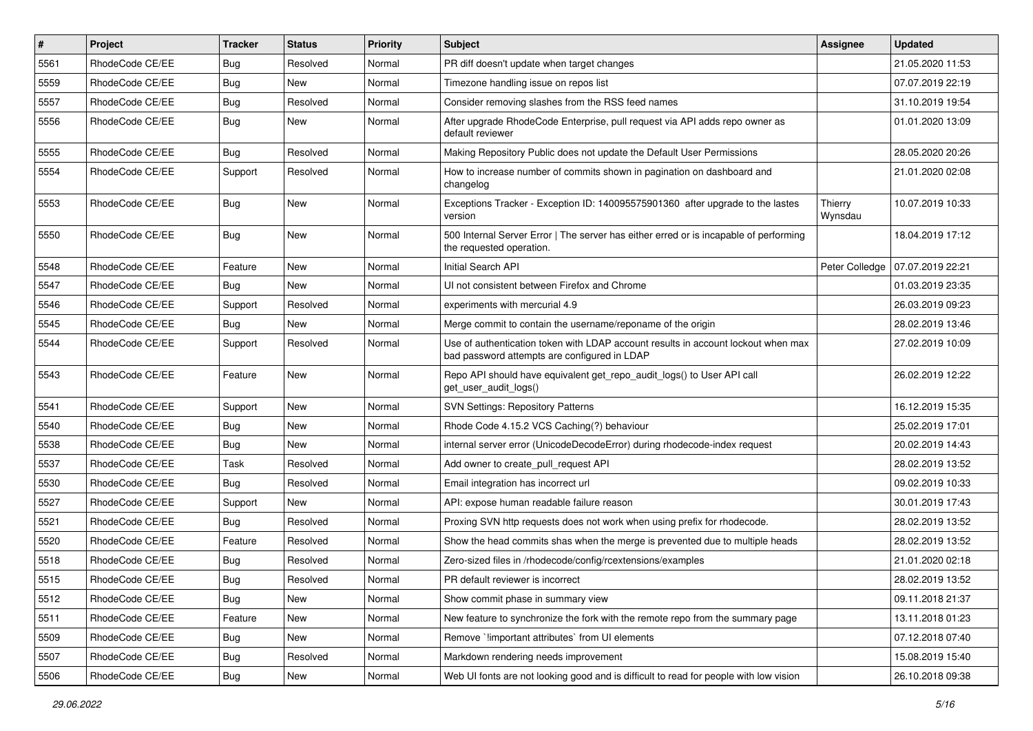| $\pmb{\#}$ | <b>Project</b>  | <b>Tracker</b> | <b>Status</b> | <b>Priority</b> | Subject                                                                                                                           | Assignee           | <b>Updated</b>   |
|------------|-----------------|----------------|---------------|-----------------|-----------------------------------------------------------------------------------------------------------------------------------|--------------------|------------------|
| 5561       | RhodeCode CE/EE | Bug            | Resolved      | Normal          | PR diff doesn't update when target changes                                                                                        |                    | 21.05.2020 11:53 |
| 5559       | RhodeCode CE/EE | Bug            | <b>New</b>    | Normal          | Timezone handling issue on repos list                                                                                             |                    | 07.07.2019 22:19 |
| 5557       | RhodeCode CE/EE | <b>Bug</b>     | Resolved      | Normal          | Consider removing slashes from the RSS feed names                                                                                 |                    | 31.10.2019 19:54 |
| 5556       | RhodeCode CE/EE | Bug            | New           | Normal          | After upgrade RhodeCode Enterprise, pull request via API adds repo owner as<br>default reviewer                                   |                    | 01.01.2020 13:09 |
| 5555       | RhodeCode CE/EE | Bug            | Resolved      | Normal          | Making Repository Public does not update the Default User Permissions                                                             |                    | 28.05.2020 20:26 |
| 5554       | RhodeCode CE/EE | Support        | Resolved      | Normal          | How to increase number of commits shown in pagination on dashboard and<br>changelog                                               |                    | 21.01.2020 02:08 |
| 5553       | RhodeCode CE/EE | <b>Bug</b>     | <b>New</b>    | Normal          | Exceptions Tracker - Exception ID: 140095575901360 after upgrade to the lastes<br>version                                         | Thierry<br>Wynsdau | 10.07.2019 10:33 |
| 5550       | RhodeCode CE/EE | Bug            | <b>New</b>    | Normal          | 500 Internal Server Error   The server has either erred or is incapable of performing<br>the requested operation.                 |                    | 18.04.2019 17:12 |
| 5548       | RhodeCode CE/EE | Feature        | <b>New</b>    | Normal          | Initial Search API                                                                                                                | Peter Colledge     | 07.07.2019 22:21 |
| 5547       | RhodeCode CE/EE | <b>Bug</b>     | New           | Normal          | UI not consistent between Firefox and Chrome                                                                                      |                    | 01.03.2019 23:35 |
| 5546       | RhodeCode CE/EE | Support        | Resolved      | Normal          | experiments with mercurial 4.9                                                                                                    |                    | 26.03.2019 09:23 |
| 5545       | RhodeCode CE/EE | Bug            | <b>New</b>    | Normal          | Merge commit to contain the username/reponame of the origin                                                                       |                    | 28.02.2019 13:46 |
| 5544       | RhodeCode CE/EE | Support        | Resolved      | Normal          | Use of authentication token with LDAP account results in account lockout when max<br>bad password attempts are configured in LDAP |                    | 27.02.2019 10:09 |
| 5543       | RhodeCode CE/EE | Feature        | <b>New</b>    | Normal          | Repo API should have equivalent get_repo_audit_logs() to User API call<br>get_user_audit_logs()                                   |                    | 26.02.2019 12:22 |
| 5541       | RhodeCode CE/EE | Support        | <b>New</b>    | Normal          | <b>SVN Settings: Repository Patterns</b>                                                                                          |                    | 16.12.2019 15:35 |
| 5540       | RhodeCode CE/EE | <b>Bug</b>     | New           | Normal          | Rhode Code 4.15.2 VCS Caching(?) behaviour                                                                                        |                    | 25.02.2019 17:01 |
| 5538       | RhodeCode CE/EE | Bug            | New           | Normal          | internal server error (UnicodeDecodeError) during rhodecode-index request                                                         |                    | 20.02.2019 14:43 |
| 5537       | RhodeCode CE/EE | Task           | Resolved      | Normal          | Add owner to create_pull_request API                                                                                              |                    | 28.02.2019 13:52 |
| 5530       | RhodeCode CE/EE | Bug            | Resolved      | Normal          | Email integration has incorrect url                                                                                               |                    | 09.02.2019 10:33 |
| 5527       | RhodeCode CE/EE | Support        | <b>New</b>    | Normal          | API: expose human readable failure reason                                                                                         |                    | 30.01.2019 17:43 |
| 5521       | RhodeCode CE/EE | <b>Bug</b>     | Resolved      | Normal          | Proxing SVN http requests does not work when using prefix for rhodecode.                                                          |                    | 28.02.2019 13:52 |
| 5520       | RhodeCode CE/EE | Feature        | Resolved      | Normal          | Show the head commits shas when the merge is prevented due to multiple heads                                                      |                    | 28.02.2019 13:52 |
| 5518       | RhodeCode CE/EE | Bug            | Resolved      | Normal          | Zero-sized files in /rhodecode/config/rcextensions/examples                                                                       |                    | 21.01.2020 02:18 |
| 5515       | RhodeCode CE/EE | i Bug          | Resolved      | Normal          | PR default reviewer is incorrect                                                                                                  |                    | 28.02.2019 13:52 |
| 5512       | RhodeCode CE/EE | <b>Bug</b>     | <b>New</b>    | Normal          | Show commit phase in summary view                                                                                                 |                    | 09.11.2018 21:37 |
| 5511       | RhodeCode CE/EE | Feature        | New           | Normal          | New feature to synchronize the fork with the remote repo from the summary page                                                    |                    | 13.11.2018 01:23 |
| 5509       | RhodeCode CE/EE | <b>Bug</b>     | New           | Normal          | Remove `!important attributes` from UI elements                                                                                   |                    | 07.12.2018 07:40 |
| 5507       | RhodeCode CE/EE | <b>Bug</b>     | Resolved      | Normal          | Markdown rendering needs improvement                                                                                              |                    | 15.08.2019 15:40 |
| 5506       | RhodeCode CE/EE | Bug            | New           | Normal          | Web UI fonts are not looking good and is difficult to read for people with low vision                                             |                    | 26.10.2018 09:38 |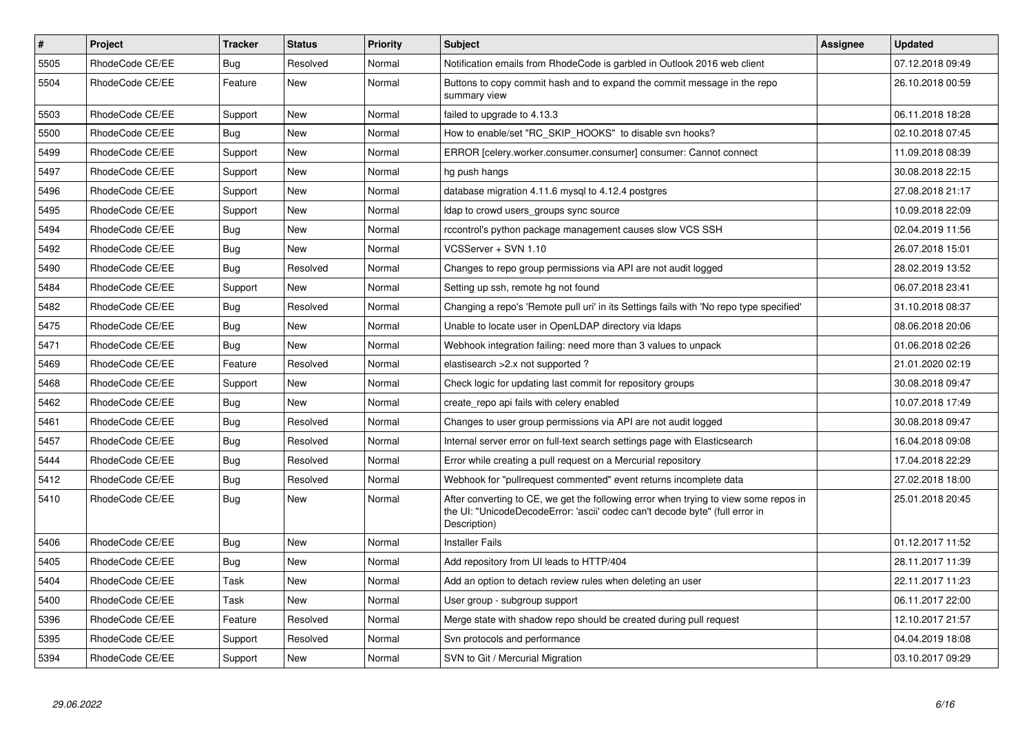| $\#$ | <b>Project</b>  | <b>Tracker</b> | <b>Status</b> | Priority | <b>Subject</b>                                                                                                                                                                       | Assignee | <b>Updated</b>   |
|------|-----------------|----------------|---------------|----------|--------------------------------------------------------------------------------------------------------------------------------------------------------------------------------------|----------|------------------|
| 5505 | RhodeCode CE/EE | Bug            | Resolved      | Normal   | Notification emails from RhodeCode is garbled in Outlook 2016 web client                                                                                                             |          | 07.12.2018 09:49 |
| 5504 | RhodeCode CE/EE | Feature        | <b>New</b>    | Normal   | Buttons to copy commit hash and to expand the commit message in the repo<br>summary view                                                                                             |          | 26.10.2018 00:59 |
| 5503 | RhodeCode CE/EE | Support        | <b>New</b>    | Normal   | failed to upgrade to 4.13.3                                                                                                                                                          |          | 06.11.2018 18:28 |
| 5500 | RhodeCode CE/EE | Bug            | <b>New</b>    | Normal   | How to enable/set "RC SKIP HOOKS" to disable svn hooks?                                                                                                                              |          | 02.10.2018 07:45 |
| 5499 | RhodeCode CE/EE | Support        | <b>New</b>    | Normal   | ERROR [celery.worker.consumer.consumer] consumer: Cannot connect                                                                                                                     |          | 11.09.2018 08:39 |
| 5497 | RhodeCode CE/EE | Support        | <b>New</b>    | Normal   | hg push hangs                                                                                                                                                                        |          | 30.08.2018 22:15 |
| 5496 | RhodeCode CE/EE | Support        | New           | Normal   | database migration 4.11.6 mysql to 4.12.4 postgres                                                                                                                                   |          | 27.08.2018 21:17 |
| 5495 | RhodeCode CE/EE | Support        | <b>New</b>    | Normal   | Idap to crowd users_groups sync source                                                                                                                                               |          | 10.09.2018 22:09 |
| 5494 | RhodeCode CE/EE | Bug            | New           | Normal   | rccontrol's python package management causes slow VCS SSH                                                                                                                            |          | 02.04.2019 11:56 |
| 5492 | RhodeCode CE/EE | Bug            | <b>New</b>    | Normal   | VCSServer + SVN 1.10                                                                                                                                                                 |          | 26.07.2018 15:01 |
| 5490 | RhodeCode CE/EE | Bug            | Resolved      | Normal   | Changes to repo group permissions via API are not audit logged                                                                                                                       |          | 28.02.2019 13:52 |
| 5484 | RhodeCode CE/EE | Support        | <b>New</b>    | Normal   | Setting up ssh, remote hg not found                                                                                                                                                  |          | 06.07.2018 23:41 |
| 5482 | RhodeCode CE/EE | Bug            | Resolved      | Normal   | Changing a repo's 'Remote pull uri' in its Settings fails with 'No repo type specified'                                                                                              |          | 31.10.2018 08:37 |
| 5475 | RhodeCode CE/EE | Bug            | New           | Normal   | Unable to locate user in OpenLDAP directory via Idaps                                                                                                                                |          | 08.06.2018 20:06 |
| 5471 | RhodeCode CE/EE | Bug            | New           | Normal   | Webhook integration failing: need more than 3 values to unpack                                                                                                                       |          | 01.06.2018 02:26 |
| 5469 | RhodeCode CE/EE | Feature        | Resolved      | Normal   | elastisearch > 2.x not supported?                                                                                                                                                    |          | 21.01.2020 02:19 |
| 5468 | RhodeCode CE/EE | Support        | New           | Normal   | Check logic for updating last commit for repository groups                                                                                                                           |          | 30.08.2018 09:47 |
| 5462 | RhodeCode CE/EE | <b>Bug</b>     | <b>New</b>    | Normal   | create repo api fails with celery enabled                                                                                                                                            |          | 10.07.2018 17:49 |
| 5461 | RhodeCode CE/EE | Bug            | Resolved      | Normal   | Changes to user group permissions via API are not audit logged                                                                                                                       |          | 30.08.2018 09:47 |
| 5457 | RhodeCode CE/EE | Bug            | Resolved      | Normal   | Internal server error on full-text search settings page with Elasticsearch                                                                                                           |          | 16.04.2018 09:08 |
| 5444 | RhodeCode CE/EE | Bug            | Resolved      | Normal   | Error while creating a pull request on a Mercurial repository                                                                                                                        |          | 17.04.2018 22:29 |
| 5412 | RhodeCode CE/EE | <b>Bug</b>     | Resolved      | Normal   | Webhook for "pullrequest commented" event returns incomplete data                                                                                                                    |          | 27.02.2018 18:00 |
| 5410 | RhodeCode CE/EE | <b>Bug</b>     | <b>New</b>    | Normal   | After converting to CE, we get the following error when trying to view some repos in<br>the UI: "UnicodeDecodeError: 'ascii' codec can't decode byte" (full error in<br>Description) |          | 25.01.2018 20:45 |
| 5406 | RhodeCode CE/EE | Bug            | New           | Normal   | <b>Installer Fails</b>                                                                                                                                                               |          | 01.12.2017 11:52 |
| 5405 | RhodeCode CE/EE | Bug            | <b>New</b>    | Normal   | Add repository from UI leads to HTTP/404                                                                                                                                             |          | 28.11.2017 11:39 |
| 5404 | RhodeCode CE/EE | Task           | New           | Normal   | Add an option to detach review rules when deleting an user                                                                                                                           |          | 22.11.2017 11:23 |
| 5400 | RhodeCode CE/EE | Task           | New           | Normal   | User group - subgroup support                                                                                                                                                        |          | 06.11.2017 22:00 |
| 5396 | RhodeCode CE/EE | Feature        | Resolved      | Normal   | Merge state with shadow repo should be created during pull request                                                                                                                   |          | 12.10.2017 21:57 |
| 5395 | RhodeCode CE/EE | Support        | Resolved      | Normal   | Svn protocols and performance                                                                                                                                                        |          | 04.04.2019 18:08 |
| 5394 | RhodeCode CE/EE | Support        | <b>New</b>    | Normal   | SVN to Git / Mercurial Migration                                                                                                                                                     |          | 03.10.2017 09:29 |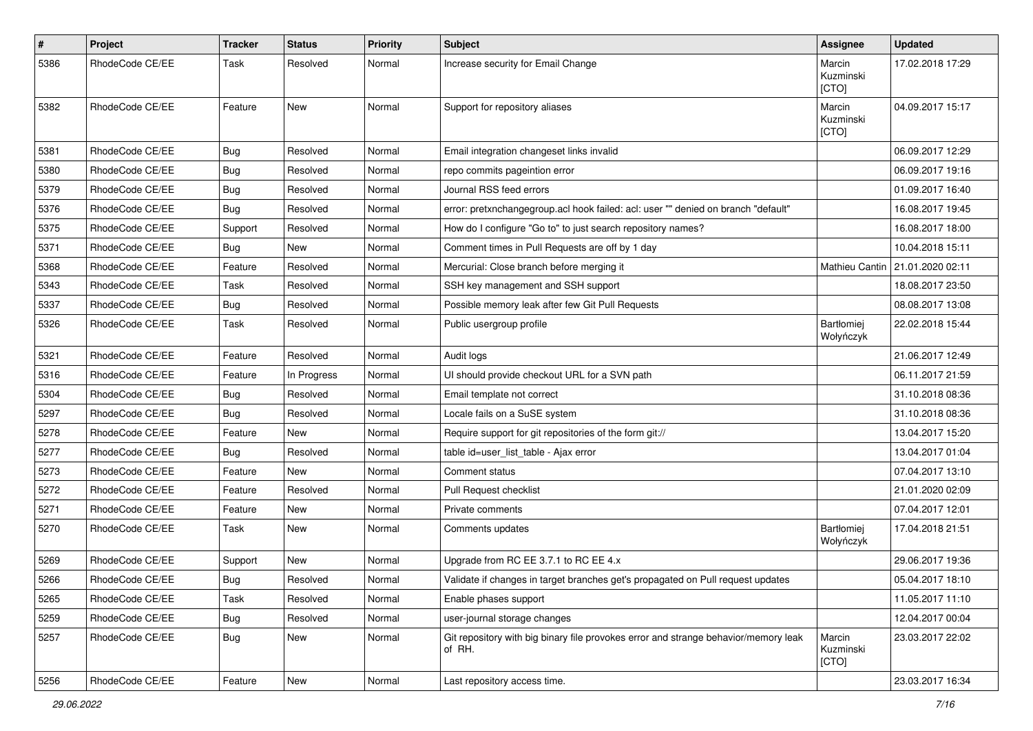| $\#$ | Project         | Tracker    | <b>Status</b> | <b>Priority</b> | <b>Subject</b>                                                                                | Assignee                     | <b>Updated</b>   |
|------|-----------------|------------|---------------|-----------------|-----------------------------------------------------------------------------------------------|------------------------------|------------------|
| 5386 | RhodeCode CE/EE | Task       | Resolved      | Normal          | Increase security for Email Change                                                            | Marcin<br>Kuzminski<br>[CTO] | 17.02.2018 17:29 |
| 5382 | RhodeCode CE/EE | Feature    | New           | Normal          | Support for repository aliases                                                                | Marcin<br>Kuzminski<br>[CTO] | 04.09.2017 15:17 |
| 5381 | RhodeCode CE/EE | <b>Bug</b> | Resolved      | Normal          | Email integration changeset links invalid                                                     |                              | 06.09.2017 12:29 |
| 5380 | RhodeCode CE/EE | <b>Bug</b> | Resolved      | Normal          | repo commits pageintion error                                                                 |                              | 06.09.2017 19:16 |
| 5379 | RhodeCode CE/EE | <b>Bug</b> | Resolved      | Normal          | Journal RSS feed errors                                                                       |                              | 01.09.2017 16:40 |
| 5376 | RhodeCode CE/EE | Bug        | Resolved      | Normal          | error: pretxnchangegroup.acl hook failed: acl: user "" denied on branch "default"             |                              | 16.08.2017 19:45 |
| 5375 | RhodeCode CE/EE | Support    | Resolved      | Normal          | How do I configure "Go to" to just search repository names?                                   |                              | 16.08.2017 18:00 |
| 5371 | RhodeCode CE/EE | Bug        | <b>New</b>    | Normal          | Comment times in Pull Requests are off by 1 day                                               |                              | 10.04.2018 15:11 |
| 5368 | RhodeCode CE/EE | Feature    | Resolved      | Normal          | Mercurial: Close branch before merging it                                                     | Mathieu Cantin               | 21.01.2020 02:11 |
| 5343 | RhodeCode CE/EE | Task       | Resolved      | Normal          | SSH key management and SSH support                                                            |                              | 18.08.2017 23:50 |
| 5337 | RhodeCode CE/EE | Bug        | Resolved      | Normal          | Possible memory leak after few Git Pull Requests                                              |                              | 08.08.2017 13:08 |
| 5326 | RhodeCode CE/EE | Task       | Resolved      | Normal          | Public usergroup profile                                                                      | Bartłomiej<br>Wołyńczyk      | 22.02.2018 15:44 |
| 5321 | RhodeCode CE/EE | Feature    | Resolved      | Normal          | Audit logs                                                                                    |                              | 21.06.2017 12:49 |
| 5316 | RhodeCode CE/EE | Feature    | In Progress   | Normal          | UI should provide checkout URL for a SVN path                                                 |                              | 06.11.2017 21:59 |
| 5304 | RhodeCode CE/EE | Bug        | Resolved      | Normal          | Email template not correct                                                                    |                              | 31.10.2018 08:36 |
| 5297 | RhodeCode CE/EE | <b>Bug</b> | Resolved      | Normal          | Locale fails on a SuSE system                                                                 |                              | 31.10.2018 08:36 |
| 5278 | RhodeCode CE/EE | Feature    | New           | Normal          | Require support for git repositories of the form git://                                       |                              | 13.04.2017 15:20 |
| 5277 | RhodeCode CE/EE | Bug        | Resolved      | Normal          | table id=user_list_table - Ajax error                                                         |                              | 13.04.2017 01:04 |
| 5273 | RhodeCode CE/EE | Feature    | New           | Normal          | Comment status                                                                                |                              | 07.04.2017 13:10 |
| 5272 | RhodeCode CE/EE | Feature    | Resolved      | Normal          | Pull Request checklist                                                                        |                              | 21.01.2020 02:09 |
| 5271 | RhodeCode CE/EE | Feature    | New           | Normal          | Private comments                                                                              |                              | 07.04.2017 12:01 |
| 5270 | RhodeCode CE/EE | Task       | New           | Normal          | Comments updates                                                                              | Bartłomiej<br>Wołyńczyk      | 17.04.2018 21:51 |
| 5269 | RhodeCode CE/EE | Support    | New           | Normal          | Upgrade from RC EE 3.7.1 to RC EE 4.x                                                         |                              | 29.06.2017 19:36 |
| 5266 | RhodeCode CE/EE | Bug        | Resolved      | Normal          | Validate if changes in target branches get's propagated on Pull request updates               |                              | 05.04.2017 18:10 |
| 5265 | RhodeCode CE/EE | Task       | Resolved      | Normal          | Enable phases support                                                                         |                              | 11.05.2017 11:10 |
| 5259 | RhodeCode CE/EE | <b>Bug</b> | Resolved      | Normal          | user-journal storage changes                                                                  |                              | 12.04.2017 00:04 |
| 5257 | RhodeCode CE/EE | <b>Bug</b> | New           | Normal          | Git repository with big binary file provokes error and strange behavior/memory leak<br>of RH. | Marcin<br>Kuzminski<br>[CTO] | 23.03.2017 22:02 |
| 5256 | RhodeCode CE/EE | Feature    | New           | Normal          | Last repository access time.                                                                  |                              | 23.03.2017 16:34 |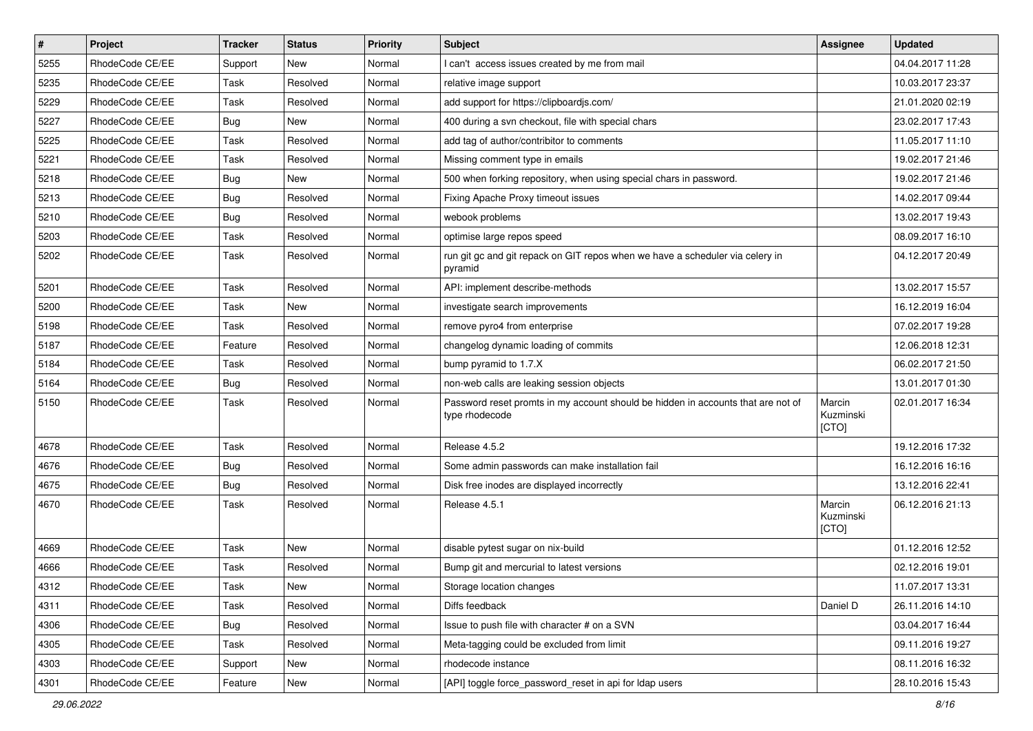| $\pmb{\#}$ | Project         | <b>Tracker</b> | <b>Status</b> | <b>Priority</b> | <b>Subject</b>                                                                                     | <b>Assignee</b>              | <b>Updated</b>   |
|------------|-----------------|----------------|---------------|-----------------|----------------------------------------------------------------------------------------------------|------------------------------|------------------|
| 5255       | RhodeCode CE/EE | Support        | New           | Normal          | I can't access issues created by me from mail                                                      |                              | 04.04.2017 11:28 |
| 5235       | RhodeCode CE/EE | Task           | Resolved      | Normal          | relative image support                                                                             |                              | 10.03.2017 23:37 |
| 5229       | RhodeCode CE/EE | Task           | Resolved      | Normal          | add support for https://clipboardjs.com/                                                           |                              | 21.01.2020 02:19 |
| 5227       | RhodeCode CE/EE | Bug            | New           | Normal          | 400 during a svn checkout, file with special chars                                                 |                              | 23.02.2017 17:43 |
| 5225       | RhodeCode CE/EE | Task           | Resolved      | Normal          | add tag of author/contribitor to comments                                                          |                              | 11.05.2017 11:10 |
| 5221       | RhodeCode CE/EE | Task           | Resolved      | Normal          | Missing comment type in emails                                                                     |                              | 19.02.2017 21:46 |
| 5218       | RhodeCode CE/EE | <b>Bug</b>     | New           | Normal          | 500 when forking repository, when using special chars in password.                                 |                              | 19.02.2017 21:46 |
| 5213       | RhodeCode CE/EE | Bug            | Resolved      | Normal          | Fixing Apache Proxy timeout issues                                                                 |                              | 14.02.2017 09:44 |
| 5210       | RhodeCode CE/EE | Bug            | Resolved      | Normal          | webook problems                                                                                    |                              | 13.02.2017 19:43 |
| 5203       | RhodeCode CE/EE | Task           | Resolved      | Normal          | optimise large repos speed                                                                         |                              | 08.09.2017 16:10 |
| 5202       | RhodeCode CE/EE | Task           | Resolved      | Normal          | run git gc and git repack on GIT repos when we have a scheduler via celery in<br>pyramid           |                              | 04.12.2017 20:49 |
| 5201       | RhodeCode CE/EE | Task           | Resolved      | Normal          | API: implement describe-methods                                                                    |                              | 13.02.2017 15:57 |
| 5200       | RhodeCode CE/EE | Task           | New           | Normal          | investigate search improvements                                                                    |                              | 16.12.2019 16:04 |
| 5198       | RhodeCode CE/EE | Task           | Resolved      | Normal          | remove pyro4 from enterprise                                                                       |                              | 07.02.2017 19:28 |
| 5187       | RhodeCode CE/EE | Feature        | Resolved      | Normal          | changelog dynamic loading of commits                                                               |                              | 12.06.2018 12:31 |
| 5184       | RhodeCode CE/EE | Task           | Resolved      | Normal          | bump pyramid to 1.7.X                                                                              |                              | 06.02.2017 21:50 |
| 5164       | RhodeCode CE/EE | Bug            | Resolved      | Normal          | non-web calls are leaking session objects                                                          |                              | 13.01.2017 01:30 |
| 5150       | RhodeCode CE/EE | Task           | Resolved      | Normal          | Password reset promts in my account should be hidden in accounts that are not of<br>type rhodecode | Marcin<br>Kuzminski<br>[CTO] | 02.01.2017 16:34 |
| 4678       | RhodeCode CE/EE | Task           | Resolved      | Normal          | Release 4.5.2                                                                                      |                              | 19.12.2016 17:32 |
| 4676       | RhodeCode CE/EE | Bug            | Resolved      | Normal          | Some admin passwords can make installation fail                                                    |                              | 16.12.2016 16:16 |
| 4675       | RhodeCode CE/EE | Bug            | Resolved      | Normal          | Disk free inodes are displayed incorrectly                                                         |                              | 13.12.2016 22:41 |
| 4670       | RhodeCode CE/EE | Task           | Resolved      | Normal          | Release 4.5.1                                                                                      | Marcin<br>Kuzminski<br>[CTO] | 06.12.2016 21:13 |
| 4669       | RhodeCode CE/EE | Task           | New           | Normal          | disable pytest sugar on nix-build                                                                  |                              | 01.12.2016 12:52 |
| 4666       | RhodeCode CE/EE | Task           | Resolved      | Normal          | Bump git and mercurial to latest versions                                                          |                              | 02.12.2016 19:01 |
| 4312       | RhodeCode CE/EE | Task           | New           | Normal          | Storage location changes                                                                           |                              | 11.07.2017 13:31 |
| 4311       | RhodeCode CE/EE | Task           | Resolved      | Normal          | Diffs feedback                                                                                     | Daniel D                     | 26.11.2016 14:10 |
| 4306       | RhodeCode CE/EE | <b>Bug</b>     | Resolved      | Normal          | Issue to push file with character # on a SVN                                                       |                              | 03.04.2017 16:44 |
| 4305       | RhodeCode CE/EE | Task           | Resolved      | Normal          | Meta-tagging could be excluded from limit                                                          |                              | 09.11.2016 19:27 |
| 4303       | RhodeCode CE/EE | Support        | New           | Normal          | rhodecode instance                                                                                 |                              | 08.11.2016 16:32 |
| 4301       | RhodeCode CE/EE | Feature        | New           | Normal          | [API] toggle force_password_reset in api for Idap users                                            |                              | 28.10.2016 15:43 |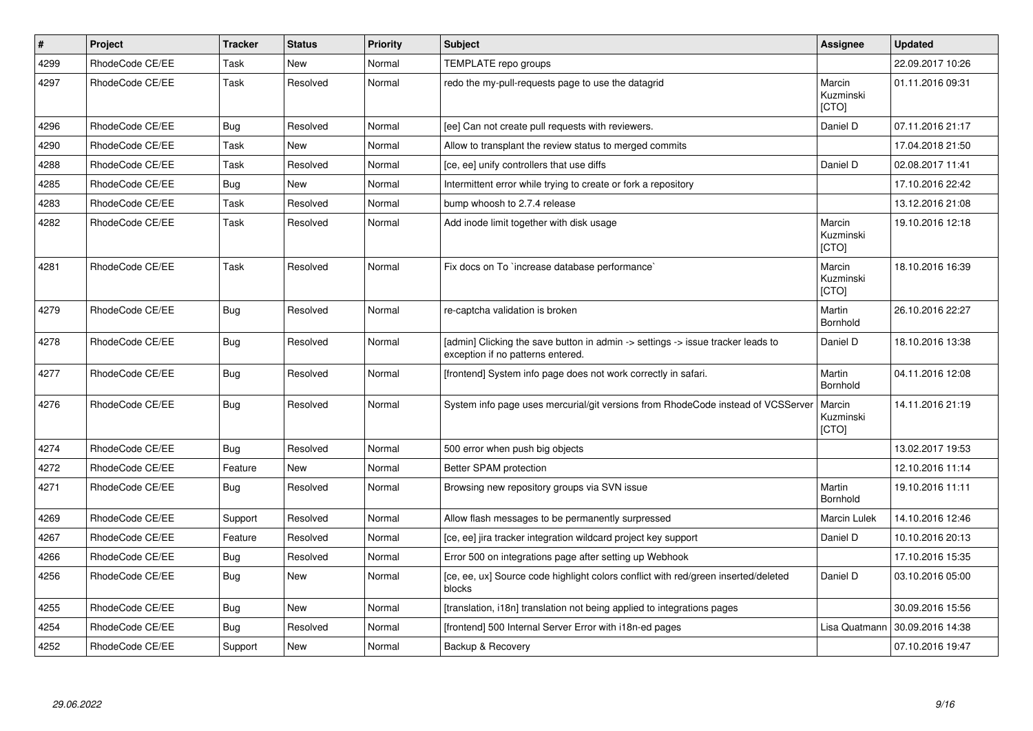| $\pmb{\#}$ | Project         | <b>Tracker</b> | <b>Status</b> | <b>Priority</b> | <b>Subject</b>                                                                                                       | <b>Assignee</b>                     | <b>Updated</b>   |
|------------|-----------------|----------------|---------------|-----------------|----------------------------------------------------------------------------------------------------------------------|-------------------------------------|------------------|
| 4299       | RhodeCode CE/EE | Task           | New           | Normal          | TEMPLATE repo groups                                                                                                 |                                     | 22.09.2017 10:26 |
| 4297       | RhodeCode CE/EE | Task           | Resolved      | Normal          | redo the my-pull-requests page to use the datagrid                                                                   | Marcin<br>Kuzminski<br>[CTO]        | 01.11.2016 09:31 |
| 4296       | RhodeCode CE/EE | Bug            | Resolved      | Normal          | [ee] Can not create pull requests with reviewers.                                                                    | Daniel D                            | 07.11.2016 21:17 |
| 4290       | RhodeCode CE/EE | Task           | New           | Normal          | Allow to transplant the review status to merged commits                                                              |                                     | 17.04.2018 21:50 |
| 4288       | RhodeCode CE/EE | Task           | Resolved      | Normal          | [ce, ee] unify controllers that use diffs                                                                            | Daniel D                            | 02.08.2017 11:41 |
| 4285       | RhodeCode CE/EE | Bug            | New           | Normal          | Intermittent error while trying to create or fork a repository                                                       |                                     | 17.10.2016 22:42 |
| 4283       | RhodeCode CE/EE | Task           | Resolved      | Normal          | bump whoosh to 2.7.4 release                                                                                         |                                     | 13.12.2016 21:08 |
| 4282       | RhodeCode CE/EE | Task           | Resolved      | Normal          | Add inode limit together with disk usage                                                                             | Marcin<br>Kuzminski<br>[CTO]        | 19.10.2016 12:18 |
| 4281       | RhodeCode CE/EE | Task           | Resolved      | Normal          | Fix docs on To `increase database performance`                                                                       | Marcin<br>Kuzminski<br>[CTO]        | 18.10.2016 16:39 |
| 4279       | RhodeCode CE/EE | Bug            | Resolved      | Normal          | re-captcha validation is broken                                                                                      | Martin<br>Bornhold                  | 26.10.2016 22:27 |
| 4278       | RhodeCode CE/EE | Bug            | Resolved      | Normal          | [admin] Clicking the save button in admin -> settings -> issue tracker leads to<br>exception if no patterns entered. | Daniel D                            | 18.10.2016 13:38 |
| 4277       | RhodeCode CE/EE | Bug            | Resolved      | Normal          | [frontend] System info page does not work correctly in safari.                                                       | Martin<br>Bornhold                  | 04.11.2016 12:08 |
| 4276       | RhodeCode CE/EE | Bug            | Resolved      | Normal          | System info page uses mercurial/git versions from RhodeCode instead of VCSServer                                     | Marcin<br>Kuzminski<br><b>[CTO]</b> | 14.11.2016 21:19 |
| 4274       | RhodeCode CE/EE | Bug            | Resolved      | Normal          | 500 error when push big objects                                                                                      |                                     | 13.02.2017 19:53 |
| 4272       | RhodeCode CE/EE | Feature        | New           | Normal          | Better SPAM protection                                                                                               |                                     | 12.10.2016 11:14 |
| 4271       | RhodeCode CE/EE | <b>Bug</b>     | Resolved      | Normal          | Browsing new repository groups via SVN issue                                                                         | Martin<br>Bornhold                  | 19.10.2016 11:11 |
| 4269       | RhodeCode CE/EE | Support        | Resolved      | Normal          | Allow flash messages to be permanently surpressed                                                                    | Marcin Lulek                        | 14.10.2016 12:46 |
| 4267       | RhodeCode CE/EE | Feature        | Resolved      | Normal          | [ce, ee] jira tracker integration wildcard project key support                                                       | Daniel D                            | 10.10.2016 20:13 |
| 4266       | RhodeCode CE/EE | Bug            | Resolved      | Normal          | Error 500 on integrations page after setting up Webhook                                                              |                                     | 17.10.2016 15:35 |
| 4256       | RhodeCode CE/EE | Bug            | New           | Normal          | [ce, ee, ux] Source code highlight colors conflict with red/green inserted/deleted<br>blocks                         | Daniel D                            | 03.10.2016 05:00 |
| 4255       | RhodeCode CE/EE | <b>Bug</b>     | New           | Normal          | [translation, i18n] translation not being applied to integrations pages                                              |                                     | 30.09.2016 15:56 |
| 4254       | RhodeCode CE/EE | Bug            | Resolved      | Normal          | [frontend] 500 Internal Server Error with i18n-ed pages                                                              | Lisa Quatmann                       | 30.09.2016 14:38 |
| 4252       | RhodeCode CE/EE | Support        | <b>New</b>    | Normal          | Backup & Recovery                                                                                                    |                                     | 07.10.2016 19:47 |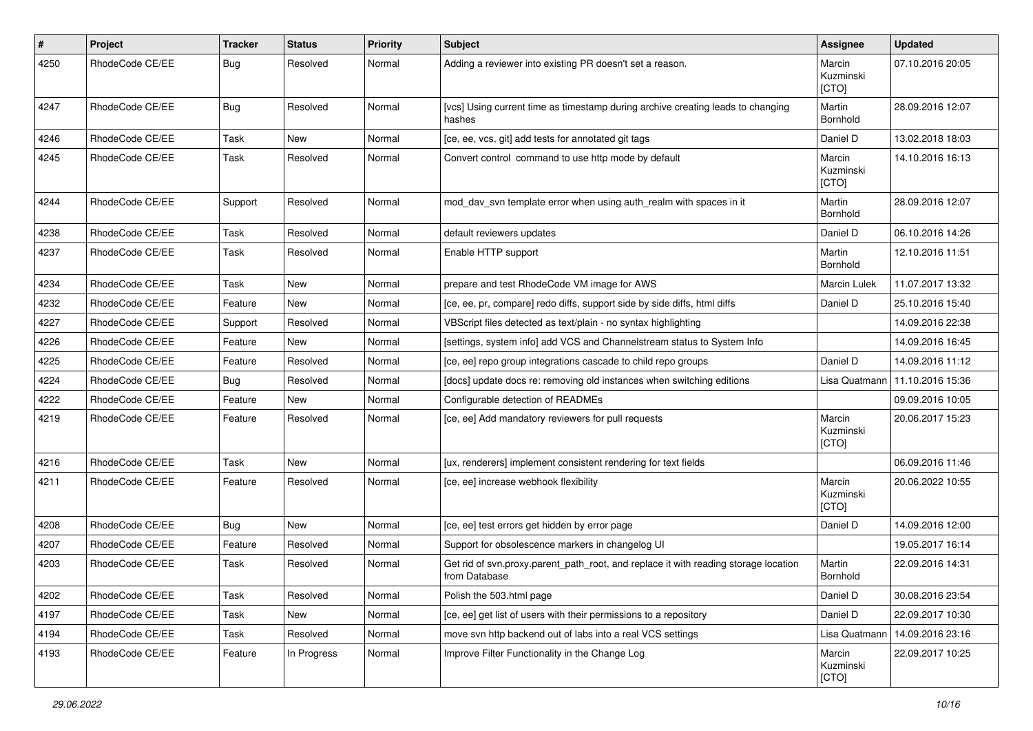| $\pmb{\#}$ | Project         | <b>Tracker</b> | <b>Status</b> | <b>Priority</b> | Subject                                                                                              | Assignee                     | <b>Updated</b>   |
|------------|-----------------|----------------|---------------|-----------------|------------------------------------------------------------------------------------------------------|------------------------------|------------------|
| 4250       | RhodeCode CE/EE | Bug            | Resolved      | Normal          | Adding a reviewer into existing PR doesn't set a reason.                                             | Marcin<br>Kuzminski<br>[CTO] | 07.10.2016 20:05 |
| 4247       | RhodeCode CE/EE | Bug            | Resolved      | Normal          | [vcs] Using current time as timestamp during archive creating leads to changing<br>hashes            | Martin<br>Bornhold           | 28.09.2016 12:07 |
| 4246       | RhodeCode CE/EE | Task           | New           | Normal          | [ce, ee, vcs, git] add tests for annotated git tags                                                  | Daniel D                     | 13.02.2018 18:03 |
| 4245       | RhodeCode CE/EE | Task           | Resolved      | Normal          | Convert control command to use http mode by default                                                  | Marcin<br>Kuzminski<br>[CTO] | 14.10.2016 16:13 |
| 4244       | RhodeCode CE/EE | Support        | Resolved      | Normal          | mod_dav_svn template error when using auth_realm with spaces in it                                   | Martin<br>Bornhold           | 28.09.2016 12:07 |
| 4238       | RhodeCode CE/EE | Task           | Resolved      | Normal          | default reviewers updates                                                                            | Daniel D                     | 06.10.2016 14:26 |
| 4237       | RhodeCode CE/EE | Task           | Resolved      | Normal          | Enable HTTP support                                                                                  | Martin<br>Bornhold           | 12.10.2016 11:51 |
| 4234       | RhodeCode CE/EE | Task           | New           | Normal          | prepare and test RhodeCode VM image for AWS                                                          | Marcin Lulek                 | 11.07.2017 13:32 |
| 4232       | RhodeCode CE/EE | Feature        | <b>New</b>    | Normal          | [ce, ee, pr, compare] redo diffs, support side by side diffs, html diffs                             | Daniel D                     | 25.10.2016 15:40 |
| 4227       | RhodeCode CE/EE | Support        | Resolved      | Normal          | VBScript files detected as text/plain - no syntax highlighting                                       |                              | 14.09.2016 22:38 |
| 4226       | RhodeCode CE/EE | Feature        | New           | Normal          | [settings, system info] add VCS and Channelstream status to System Info                              |                              | 14.09.2016 16:45 |
| 4225       | RhodeCode CE/EE | Feature        | Resolved      | Normal          | [ce, ee] repo group integrations cascade to child repo groups                                        | Daniel D                     | 14.09.2016 11:12 |
| 4224       | RhodeCode CE/EE | Bug            | Resolved      | Normal          | [docs] update docs re: removing old instances when switching editions                                | Lisa Quatmann                | 11.10.2016 15:36 |
| 4222       | RhodeCode CE/EE | Feature        | <b>New</b>    | Normal          | Configurable detection of READMEs                                                                    |                              | 09.09.2016 10:05 |
| 4219       | RhodeCode CE/EE | Feature        | Resolved      | Normal          | [ce, ee] Add mandatory reviewers for pull requests                                                   | Marcin<br>Kuzminski<br>[CTO] | 20.06.2017 15:23 |
| 4216       | RhodeCode CE/EE | Task           | New           | Normal          | [ux, renderers] implement consistent rendering for text fields                                       |                              | 06.09.2016 11:46 |
| 4211       | RhodeCode CE/EE | Feature        | Resolved      | Normal          | [ce, ee] increase webhook flexibility                                                                | Marcin<br>Kuzminski<br>[CTO] | 20.06.2022 10:55 |
| 4208       | RhodeCode CE/EE | Bug            | <b>New</b>    | Normal          | [ce, ee] test errors get hidden by error page                                                        | Daniel D                     | 14.09.2016 12:00 |
| 4207       | RhodeCode CE/EE | Feature        | Resolved      | Normal          | Support for obsolescence markers in changelog UI                                                     |                              | 19.05.2017 16:14 |
| 4203       | RhodeCode CE/EE | Task           | Resolved      | Normal          | Get rid of svn.proxy.parent_path_root, and replace it with reading storage location<br>from Database | Martin<br>Bornhold           | 22.09.2016 14:31 |
| 4202       | RhodeCode CE/EE | Task           | Resolved      | Normal          | Polish the 503.html page                                                                             | Daniel D                     | 30.08.2016 23:54 |
| 4197       | RhodeCode CE/EE | Task           | New           | Normal          | [ce, ee] get list of users with their permissions to a repository                                    | Daniel D                     | 22.09.2017 10:30 |
| 4194       | RhodeCode CE/EE | Task           | Resolved      | Normal          | move svn http backend out of labs into a real VCS settings                                           | Lisa Quatmann                | 14.09.2016 23:16 |
| 4193       | RhodeCode CE/EE | Feature        | In Progress   | Normal          | Improve Filter Functionality in the Change Log                                                       | Marcin<br>Kuzminski<br>[CTO] | 22.09.2017 10:25 |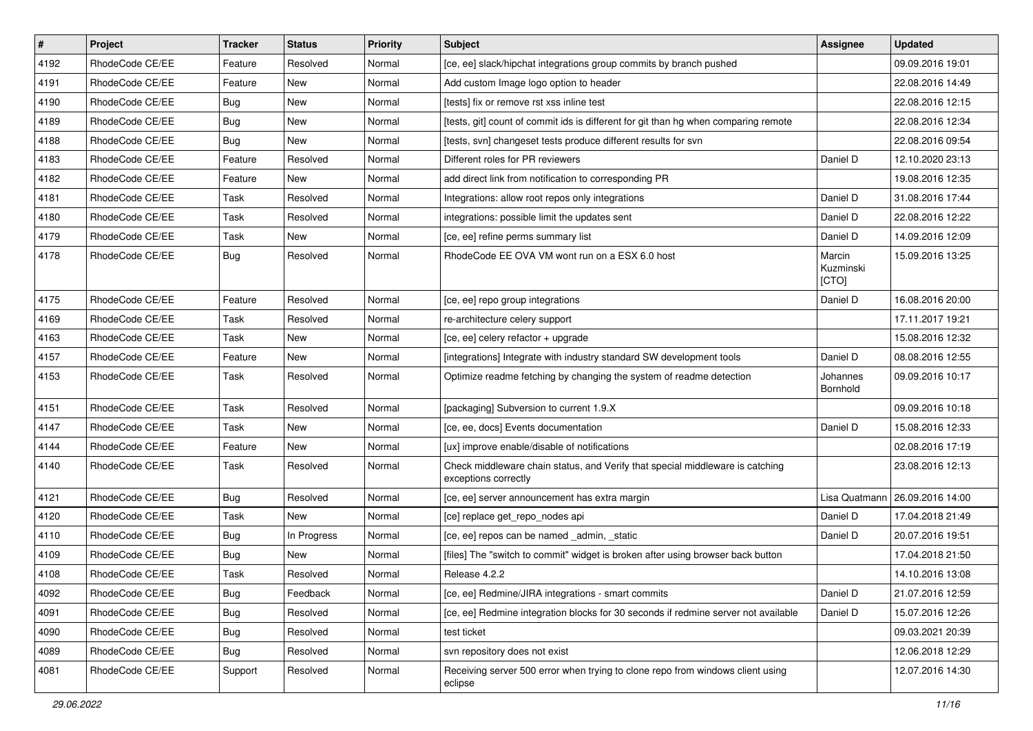| $\vert$ # | Project         | <b>Tracker</b> | <b>Status</b> | Priority | <b>Subject</b>                                                                                        | <b>Assignee</b>              | <b>Updated</b>   |
|-----------|-----------------|----------------|---------------|----------|-------------------------------------------------------------------------------------------------------|------------------------------|------------------|
| 4192      | RhodeCode CE/EE | Feature        | Resolved      | Normal   | [ce, ee] slack/hipchat integrations group commits by branch pushed                                    |                              | 09.09.2016 19:01 |
| 4191      | RhodeCode CE/EE | Feature        | <b>New</b>    | Normal   | Add custom Image logo option to header                                                                |                              | 22.08.2016 14:49 |
| 4190      | RhodeCode CE/EE | Bug            | New           | Normal   | [tests] fix or remove rst xss inline test                                                             |                              | 22.08.2016 12:15 |
| 4189      | RhodeCode CE/EE | Bug            | New           | Normal   | [tests, git] count of commit ids is different for git than hg when comparing remote                   |                              | 22.08.2016 12:34 |
| 4188      | RhodeCode CE/EE | Bug            | <b>New</b>    | Normal   | [tests, svn] changeset tests produce different results for svn                                        |                              | 22.08.2016 09:54 |
| 4183      | RhodeCode CE/EE | Feature        | Resolved      | Normal   | Different roles for PR reviewers                                                                      | Daniel D                     | 12.10.2020 23:13 |
| 4182      | RhodeCode CE/EE | Feature        | <b>New</b>    | Normal   | add direct link from notification to corresponding PR                                                 |                              | 19.08.2016 12:35 |
| 4181      | RhodeCode CE/EE | Task           | Resolved      | Normal   | Integrations: allow root repos only integrations                                                      | Daniel D                     | 31.08.2016 17:44 |
| 4180      | RhodeCode CE/EE | Task           | Resolved      | Normal   | integrations: possible limit the updates sent                                                         | Daniel D                     | 22.08.2016 12:22 |
| 4179      | RhodeCode CE/EE | Task           | <b>New</b>    | Normal   | [ce, ee] refine perms summary list                                                                    | Daniel D                     | 14.09.2016 12:09 |
| 4178      | RhodeCode CE/EE | Bug            | Resolved      | Normal   | RhodeCode EE OVA VM wont run on a ESX 6.0 host                                                        | Marcin<br>Kuzminski<br>[CTO] | 15.09.2016 13:25 |
| 4175      | RhodeCode CE/EE | Feature        | Resolved      | Normal   | [ce, ee] repo group integrations                                                                      | Daniel D                     | 16.08.2016 20:00 |
| 4169      | RhodeCode CE/EE | Task           | Resolved      | Normal   | re-architecture celery support                                                                        |                              | 17.11.2017 19:21 |
| 4163      | RhodeCode CE/EE | Task           | <b>New</b>    | Normal   | [ce, ee] celery refactor + upgrade                                                                    |                              | 15.08.2016 12:32 |
| 4157      | RhodeCode CE/EE | Feature        | <b>New</b>    | Normal   | [integrations] Integrate with industry standard SW development tools                                  | Daniel D                     | 08.08.2016 12:55 |
| 4153      | RhodeCode CE/EE | Task           | Resolved      | Normal   | Optimize readme fetching by changing the system of readme detection                                   | Johannes<br>Bornhold         | 09.09.2016 10:17 |
| 4151      | RhodeCode CE/EE | Task           | Resolved      | Normal   | [packaging] Subversion to current 1.9.X                                                               |                              | 09.09.2016 10:18 |
| 4147      | RhodeCode CE/EE | Task           | <b>New</b>    | Normal   | [ce, ee, docs] Events documentation                                                                   | Daniel D                     | 15.08.2016 12:33 |
| 4144      | RhodeCode CE/EE | Feature        | New           | Normal   | [ux] improve enable/disable of notifications                                                          |                              | 02.08.2016 17:19 |
| 4140      | RhodeCode CE/EE | Task           | Resolved      | Normal   | Check middleware chain status, and Verify that special middleware is catching<br>exceptions correctly |                              | 23.08.2016 12:13 |
| 4121      | RhodeCode CE/EE | Bug            | Resolved      | Normal   | [ce, ee] server announcement has extra margin                                                         | Lisa Quatmann                | 26.09.2016 14:00 |
| 4120      | RhodeCode CE/EE | Task           | <b>New</b>    | Normal   | [ce] replace get_repo_nodes api                                                                       | Daniel D                     | 17.04.2018 21:49 |
| 4110      | RhodeCode CE/EE | Bug            | In Progress   | Normal   | [ce, ee] repos can be named _admin, _static                                                           | Daniel D                     | 20.07.2016 19:51 |
| 4109      | RhodeCode CE/EE | Bug            | New           | Normal   | [files] The "switch to commit" widget is broken after using browser back button                       |                              | 17.04.2018 21:50 |
| 4108      | RhodeCode CE/EE | Task           | Resolved      | Normal   | Release 4.2.2                                                                                         |                              | 14.10.2016 13:08 |
| 4092      | RhodeCode CE/EE | <b>Bug</b>     | Feedback      | Normal   | [ce, ee] Redmine/JIRA integrations - smart commits                                                    | Daniel D                     | 21.07.2016 12:59 |
| 4091      | RhodeCode CE/EE | <b>Bug</b>     | Resolved      | Normal   | [ce, ee] Redmine integration blocks for 30 seconds if redmine server not available                    | Daniel D                     | 15.07.2016 12:26 |
| 4090      | RhodeCode CE/EE | <b>Bug</b>     | Resolved      | Normal   | test ticket                                                                                           |                              | 09.03.2021 20:39 |
| 4089      | RhodeCode CE/EE | <b>Bug</b>     | Resolved      | Normal   | svn repository does not exist                                                                         |                              | 12.06.2018 12:29 |
| 4081      | RhodeCode CE/EE | Support        | Resolved      | Normal   | Receiving server 500 error when trying to clone repo from windows client using<br>eclipse             |                              | 12.07.2016 14:30 |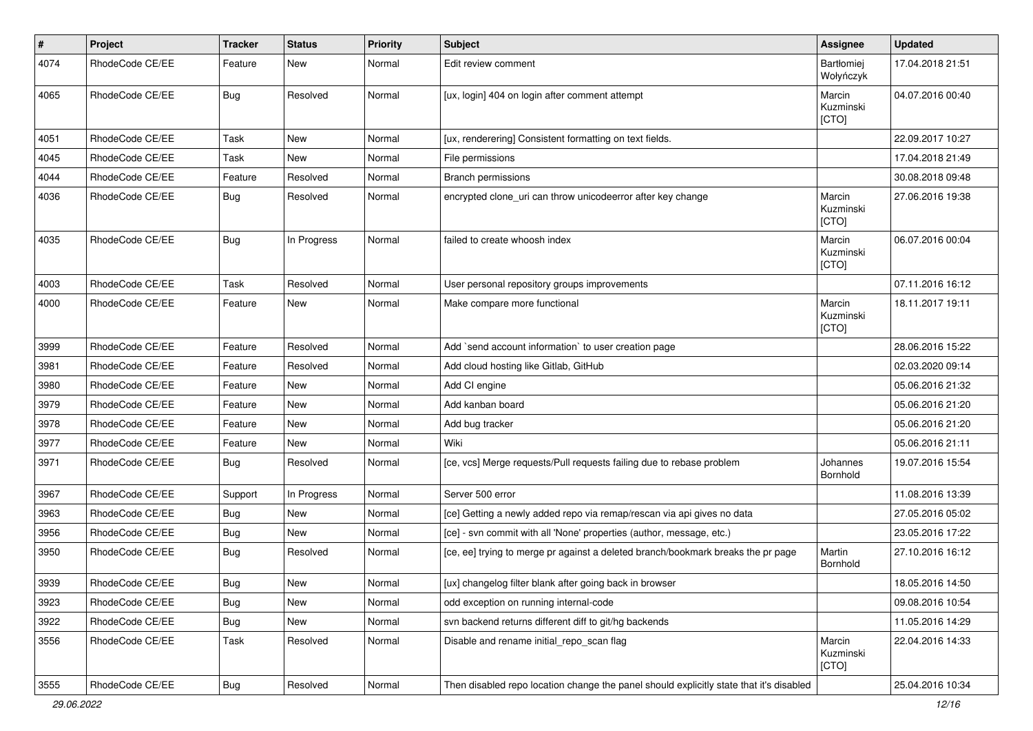| $\sharp$ | Project         | <b>Tracker</b> | <b>Status</b> | <b>Priority</b> | <b>Subject</b>                                                                          | <b>Assignee</b>              | <b>Updated</b>   |
|----------|-----------------|----------------|---------------|-----------------|-----------------------------------------------------------------------------------------|------------------------------|------------------|
| 4074     | RhodeCode CE/EE | Feature        | New           | Normal          | Edit review comment                                                                     | Bartłomiej<br>Wołyńczyk      | 17.04.2018 21:51 |
| 4065     | RhodeCode CE/EE | Bug            | Resolved      | Normal          | [ux, login] 404 on login after comment attempt                                          | Marcin<br>Kuzminski<br>[CTO] | 04.07.2016 00:40 |
| 4051     | RhodeCode CE/EE | Task           | New           | Normal          | [ux, renderering] Consistent formatting on text fields.                                 |                              | 22.09.2017 10:27 |
| 4045     | RhodeCode CE/EE | Task           | New           | Normal          | File permissions                                                                        |                              | 17.04.2018 21:49 |
| 4044     | RhodeCode CE/EE | Feature        | Resolved      | Normal          | Branch permissions                                                                      |                              | 30.08.2018 09:48 |
| 4036     | RhodeCode CE/EE | Bug            | Resolved      | Normal          | encrypted clone_uri can throw unicodeerror after key change                             | Marcin<br>Kuzminski<br>[CTO] | 27.06.2016 19:38 |
| 4035     | RhodeCode CE/EE | Bug            | In Progress   | Normal          | failed to create whoosh index                                                           | Marcin<br>Kuzminski<br>[CTO] | 06.07.2016 00:04 |
| 4003     | RhodeCode CE/EE | Task           | Resolved      | Normal          | User personal repository groups improvements                                            |                              | 07.11.2016 16:12 |
| 4000     | RhodeCode CE/EE | Feature        | <b>New</b>    | Normal          | Make compare more functional                                                            | Marcin<br>Kuzminski<br>[CTO] | 18.11.2017 19:11 |
| 3999     | RhodeCode CE/EE | Feature        | Resolved      | Normal          | Add `send account information` to user creation page                                    |                              | 28.06.2016 15:22 |
| 3981     | RhodeCode CE/EE | Feature        | Resolved      | Normal          | Add cloud hosting like Gitlab, GitHub                                                   |                              | 02.03.2020 09:14 |
| 3980     | RhodeCode CE/EE | Feature        | New           | Normal          | Add CI engine                                                                           |                              | 05.06.2016 21:32 |
| 3979     | RhodeCode CE/EE | Feature        | New           | Normal          | Add kanban board                                                                        |                              | 05.06.2016 21:20 |
| 3978     | RhodeCode CE/EE | Feature        | New           | Normal          | Add bug tracker                                                                         |                              | 05.06.2016 21:20 |
| 3977     | RhodeCode CE/EE | Feature        | <b>New</b>    | Normal          | Wiki                                                                                    |                              | 05.06.2016 21:11 |
| 3971     | RhodeCode CE/EE | Bug            | Resolved      | Normal          | [ce, vcs] Merge requests/Pull requests failing due to rebase problem                    | Johannes<br>Bornhold         | 19.07.2016 15:54 |
| 3967     | RhodeCode CE/EE | Support        | In Progress   | Normal          | Server 500 error                                                                        |                              | 11.08.2016 13:39 |
| 3963     | RhodeCode CE/EE | Bug            | New           | Normal          | [ce] Getting a newly added repo via remap/rescan via api gives no data                  |                              | 27.05.2016 05:02 |
| 3956     | RhodeCode CE/EE | Bug            | <b>New</b>    | Normal          | [ce] - svn commit with all 'None' properties (author, message, etc.)                    |                              | 23.05.2016 17:22 |
| 3950     | RhodeCode CE/EE | Bug            | Resolved      | Normal          | [ce, ee] trying to merge pr against a deleted branch/bookmark breaks the pr page        | Martin<br>Bornhold           | 27.10.2016 16:12 |
| 3939     | RhodeCode CE/EE | <b>Bug</b>     | New           | Normal          | [ux] changelog filter blank after going back in browser                                 |                              | 18.05.2016 14:50 |
| 3923     | RhodeCode CE/EE | Bug            | New           | Normal          | odd exception on running internal-code                                                  |                              | 09.08.2016 10:54 |
| 3922     | RhodeCode CE/EE | Bug            | New           | Normal          | svn backend returns different diff to git/hg backends                                   |                              | 11.05.2016 14:29 |
| 3556     | RhodeCode CE/EE | Task           | Resolved      | Normal          | Disable and rename initial_repo_scan flag                                               | Marcin<br>Kuzminski<br>[CTO] | 22.04.2016 14:33 |
| 3555     | RhodeCode CE/EE | Bug            | Resolved      | Normal          | Then disabled repo location change the panel should explicitly state that it's disabled |                              | 25.04.2016 10:34 |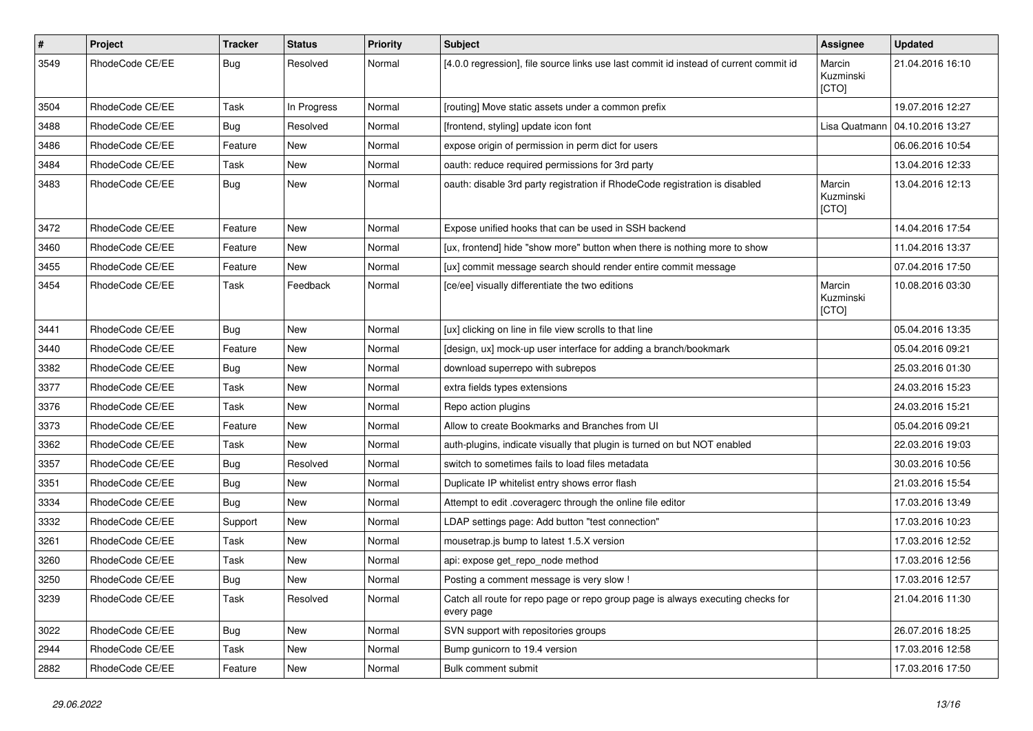| $\pmb{\#}$ | Project         | <b>Tracker</b> | <b>Status</b> | <b>Priority</b> | <b>Subject</b>                                                                                | Assignee                     | <b>Updated</b>   |
|------------|-----------------|----------------|---------------|-----------------|-----------------------------------------------------------------------------------------------|------------------------------|------------------|
| 3549       | RhodeCode CE/EE | Bug            | Resolved      | Normal          | [4.0.0 regression], file source links use last commit id instead of current commit id         | Marcin<br>Kuzminski<br>[CTO] | 21.04.2016 16:10 |
| 3504       | RhodeCode CE/EE | Task           | In Progress   | Normal          | [routing] Move static assets under a common prefix                                            |                              | 19.07.2016 12:27 |
| 3488       | RhodeCode CE/EE | Bug            | Resolved      | Normal          | [frontend, styling] update icon font                                                          | Lisa Quatmann                | 04.10.2016 13:27 |
| 3486       | RhodeCode CE/EE | Feature        | New           | Normal          | expose origin of permission in perm dict for users                                            |                              | 06.06.2016 10:54 |
| 3484       | RhodeCode CE/EE | Task           | <b>New</b>    | Normal          | oauth: reduce required permissions for 3rd party                                              |                              | 13.04.2016 12:33 |
| 3483       | RhodeCode CE/EE | Bug            | New           | Normal          | oauth: disable 3rd party registration if RhodeCode registration is disabled                   | Marcin<br>Kuzminski<br>[CTO] | 13.04.2016 12:13 |
| 3472       | RhodeCode CE/EE | Feature        | New           | Normal          | Expose unified hooks that can be used in SSH backend                                          |                              | 14.04.2016 17:54 |
| 3460       | RhodeCode CE/EE | Feature        | New           | Normal          | [ux, frontend] hide "show more" button when there is nothing more to show                     |                              | 11.04.2016 13:37 |
| 3455       | RhodeCode CE/EE | Feature        | <b>New</b>    | Normal          | [ux] commit message search should render entire commit message                                |                              | 07.04.2016 17:50 |
| 3454       | RhodeCode CE/EE | Task           | Feedback      | Normal          | [ce/ee] visually differentiate the two editions                                               | Marcin<br>Kuzminski<br>[CTO] | 10.08.2016 03:30 |
| 3441       | RhodeCode CE/EE | <b>Bug</b>     | <b>New</b>    | Normal          | [ux] clicking on line in file view scrolls to that line                                       |                              | 05.04.2016 13:35 |
| 3440       | RhodeCode CE/EE | Feature        | <b>New</b>    | Normal          | [design, ux] mock-up user interface for adding a branch/bookmark                              |                              | 05.04.2016 09:21 |
| 3382       | RhodeCode CE/EE | Bug            | New           | Normal          | download superrepo with subrepos                                                              |                              | 25.03.2016 01:30 |
| 3377       | RhodeCode CE/EE | Task           | New           | Normal          | extra fields types extensions                                                                 |                              | 24.03.2016 15:23 |
| 3376       | RhodeCode CE/EE | Task           | <b>New</b>    | Normal          | Repo action plugins                                                                           |                              | 24.03.2016 15:21 |
| 3373       | RhodeCode CE/EE | Feature        | New           | Normal          | Allow to create Bookmarks and Branches from UI                                                |                              | 05.04.2016 09:21 |
| 3362       | RhodeCode CE/EE | Task           | <b>New</b>    | Normal          | auth-plugins, indicate visually that plugin is turned on but NOT enabled                      |                              | 22.03.2016 19:03 |
| 3357       | RhodeCode CE/EE | Bug            | Resolved      | Normal          | switch to sometimes fails to load files metadata                                              |                              | 30.03.2016 10:56 |
| 3351       | RhodeCode CE/EE | <b>Bug</b>     | New           | Normal          | Duplicate IP whitelist entry shows error flash                                                |                              | 21.03.2016 15:54 |
| 3334       | RhodeCode CE/EE | Bug            | <b>New</b>    | Normal          | Attempt to edit .coveragerc through the online file editor                                    |                              | 17.03.2016 13:49 |
| 3332       | RhodeCode CE/EE | Support        | <b>New</b>    | Normal          | LDAP settings page: Add button "test connection"                                              |                              | 17.03.2016 10:23 |
| 3261       | RhodeCode CE/EE | Task           | New           | Normal          | mousetrap.js bump to latest 1.5.X version                                                     |                              | 17.03.2016 12:52 |
| 3260       | RhodeCode CE/EE | Task           | New           | Normal          | api: expose get_repo_node method                                                              |                              | 17.03.2016 12:56 |
| 3250       | RhodeCode CE/EE | Bug            | New           | Normal          | Posting a comment message is very slow !                                                      |                              | 17.03.2016 12:57 |
| 3239       | RhodeCode CE/EE | Task           | Resolved      | Normal          | Catch all route for repo page or repo group page is always executing checks for<br>every page |                              | 21.04.2016 11:30 |
| 3022       | RhodeCode CE/EE | Bug            | New           | Normal          | SVN support with repositories groups                                                          |                              | 26.07.2016 18:25 |
| 2944       | RhodeCode CE/EE | Task           | New           | Normal          | Bump gunicorn to 19.4 version                                                                 |                              | 17.03.2016 12:58 |
| 2882       | RhodeCode CE/EE | Feature        | New           | Normal          | Bulk comment submit                                                                           |                              | 17.03.2016 17:50 |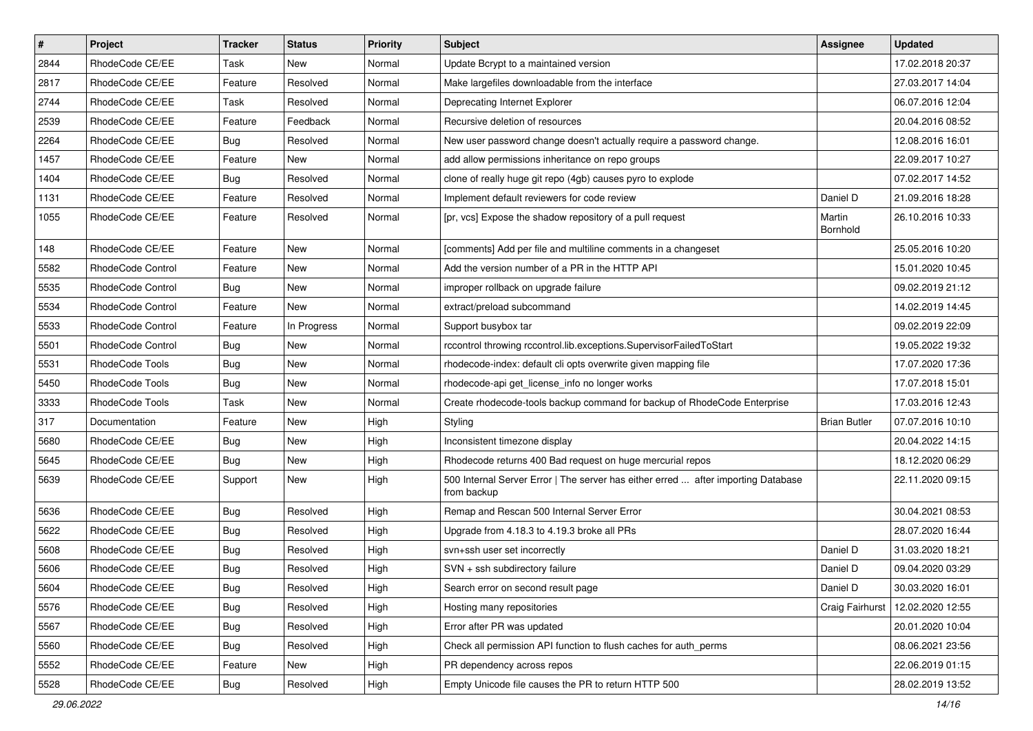| $\vert$ # | Project                  | <b>Tracker</b> | <b>Status</b> | <b>Priority</b> | Subject                                                                                          | <b>Assignee</b>     | <b>Updated</b>   |
|-----------|--------------------------|----------------|---------------|-----------------|--------------------------------------------------------------------------------------------------|---------------------|------------------|
| 2844      | RhodeCode CE/EE          | Task           | New           | Normal          | Update Bcrypt to a maintained version                                                            |                     | 17.02.2018 20:37 |
| 2817      | RhodeCode CE/EE          | Feature        | Resolved      | Normal          | Make largefiles downloadable from the interface                                                  |                     | 27.03.2017 14:04 |
| 2744      | RhodeCode CE/EE          | Task           | Resolved      | Normal          | Deprecating Internet Explorer                                                                    |                     | 06.07.2016 12:04 |
| 2539      | RhodeCode CE/EE          | Feature        | Feedback      | Normal          | Recursive deletion of resources                                                                  |                     | 20.04.2016 08:52 |
| 2264      | RhodeCode CE/EE          | <b>Bug</b>     | Resolved      | Normal          | New user password change doesn't actually require a password change.                             |                     | 12.08.2016 16:01 |
| 1457      | RhodeCode CE/EE          | Feature        | New           | Normal          | add allow permissions inheritance on repo groups                                                 |                     | 22.09.2017 10:27 |
| 1404      | RhodeCode CE/EE          | <b>Bug</b>     | Resolved      | Normal          | clone of really huge git repo (4gb) causes pyro to explode                                       |                     | 07.02.2017 14:52 |
| 1131      | RhodeCode CE/EE          | Feature        | Resolved      | Normal          | Implement default reviewers for code review                                                      | Daniel D            | 21.09.2016 18:28 |
| 1055      | RhodeCode CE/EE          | Feature        | Resolved      | Normal          | [pr, vcs] Expose the shadow repository of a pull request                                         | Martin<br>Bornhold  | 26.10.2016 10:33 |
| 148       | RhodeCode CE/EE          | Feature        | New           | Normal          | [comments] Add per file and multiline comments in a changeset                                    |                     | 25.05.2016 10:20 |
| 5582      | <b>RhodeCode Control</b> | Feature        | New           | Normal          | Add the version number of a PR in the HTTP API                                                   |                     | 15.01.2020 10:45 |
| 5535      | RhodeCode Control        | <b>Bug</b>     | New           | Normal          | improper rollback on upgrade failure                                                             |                     | 09.02.2019 21:12 |
| 5534      | RhodeCode Control        | Feature        | <b>New</b>    | Normal          | extract/preload subcommand                                                                       |                     | 14.02.2019 14:45 |
| 5533      | RhodeCode Control        | Feature        | In Progress   | Normal          | Support busybox tar                                                                              |                     | 09.02.2019 22:09 |
| 5501      | <b>RhodeCode Control</b> | <b>Bug</b>     | New           | Normal          | rccontrol throwing rccontrol.lib.exceptions.SupervisorFailedToStart                              |                     | 19.05.2022 19:32 |
| 5531      | RhodeCode Tools          | <b>Bug</b>     | New           | Normal          | rhodecode-index: default cli opts overwrite given mapping file                                   |                     | 17.07.2020 17:36 |
| 5450      | RhodeCode Tools          | <b>Bug</b>     | New           | Normal          | rhodecode-api get_license_info no longer works                                                   |                     | 17.07.2018 15:01 |
| 3333      | RhodeCode Tools          | Task           | New           | Normal          | Create rhodecode-tools backup command for backup of RhodeCode Enterprise                         |                     | 17.03.2016 12:43 |
| 317       | Documentation            | Feature        | New           | High            | Styling                                                                                          | <b>Brian Butler</b> | 07.07.2016 10:10 |
| 5680      | RhodeCode CE/EE          | <b>Bug</b>     | New           | High            | Inconsistent timezone display                                                                    |                     | 20.04.2022 14:15 |
| 5645      | RhodeCode CE/EE          | <b>Bug</b>     | New           | High            | Rhodecode returns 400 Bad request on huge mercurial repos                                        |                     | 18.12.2020 06:29 |
| 5639      | RhodeCode CE/EE          | Support        | New           | High            | 500 Internal Server Error   The server has either erred  after importing Database<br>from backup |                     | 22.11.2020 09:15 |
| 5636      | RhodeCode CE/EE          | <b>Bug</b>     | Resolved      | High            | Remap and Rescan 500 Internal Server Error                                                       |                     | 30.04.2021 08:53 |
| 5622      | RhodeCode CE/EE          | <b>Bug</b>     | Resolved      | High            | Upgrade from 4.18.3 to 4.19.3 broke all PRs                                                      |                     | 28.07.2020 16:44 |
| 5608      | RhodeCode CE/EE          | <b>Bug</b>     | Resolved      | High            | svn+ssh user set incorrectly                                                                     | Daniel D            | 31.03.2020 18:21 |
| 5606      | RhodeCode CE/EE          | <b>Bug</b>     | Resolved      | High            | SVN + ssh subdirectory failure                                                                   | Daniel D            | 09.04.2020 03:29 |
| 5604      | RhodeCode CE/EE          | <b>Bug</b>     | Resolved      | High            | Search error on second result page                                                               | Daniel D            | 30.03.2020 16:01 |
| 5576      | RhodeCode CE/EE          | <b>Bug</b>     | Resolved      | High            | Hosting many repositories                                                                        | Craig Fairhurst     | 12.02.2020 12:55 |
| 5567      | RhodeCode CE/EE          | Bug            | Resolved      | High            | Error after PR was updated                                                                       |                     | 20.01.2020 10:04 |
| 5560      | RhodeCode CE/EE          | <b>Bug</b>     | Resolved      | High            | Check all permission API function to flush caches for auth perms                                 |                     | 08.06.2021 23:56 |
| 5552      | RhodeCode CE/EE          | Feature        | New           | High            | PR dependency across repos                                                                       |                     | 22.06.2019 01:15 |
| 5528      | RhodeCode CE/EE          | <b>Bug</b>     | Resolved      | High            | Empty Unicode file causes the PR to return HTTP 500                                              |                     | 28.02.2019 13:52 |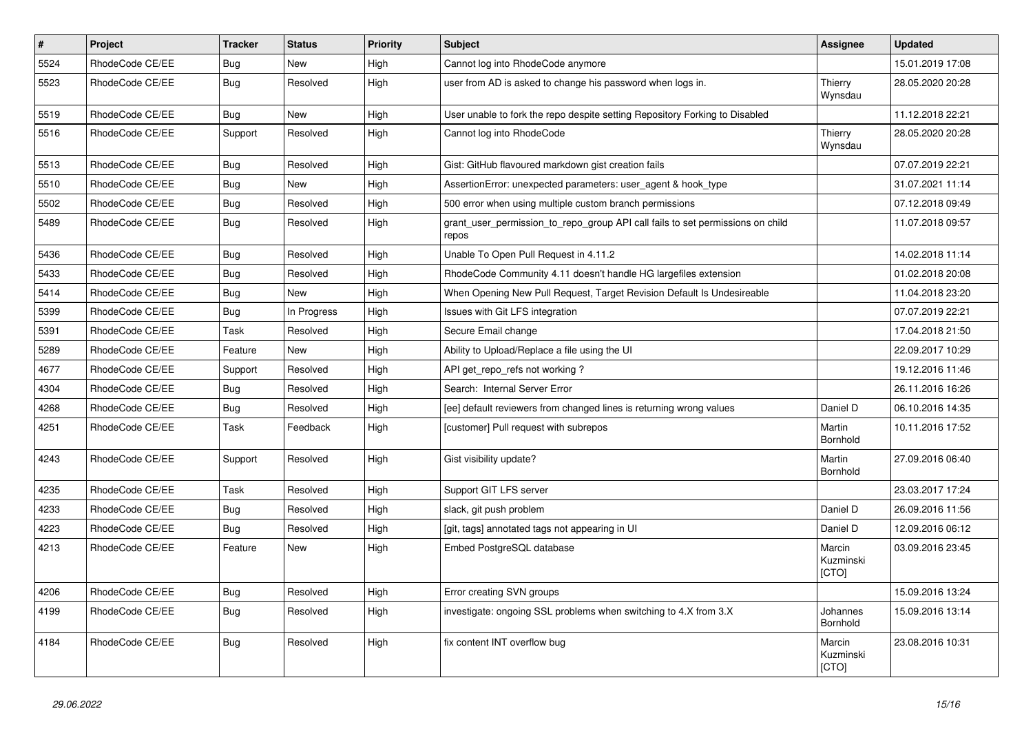| $\vert$ # | Project         | <b>Tracker</b> | <b>Status</b> | <b>Priority</b> | <b>Subject</b>                                                                          | Assignee                     | <b>Updated</b>   |
|-----------|-----------------|----------------|---------------|-----------------|-----------------------------------------------------------------------------------------|------------------------------|------------------|
| 5524      | RhodeCode CE/EE | <b>Bug</b>     | <b>New</b>    | High            | Cannot log into RhodeCode anymore                                                       |                              | 15.01.2019 17:08 |
| 5523      | RhodeCode CE/EE | Bug            | Resolved      | High            | user from AD is asked to change his password when logs in.                              | Thierry<br>Wynsdau           | 28.05.2020 20:28 |
| 5519      | RhodeCode CE/EE | Bug            | <b>New</b>    | High            | User unable to fork the repo despite setting Repository Forking to Disabled             |                              | 11.12.2018 22:21 |
| 5516      | RhodeCode CE/EE | Support        | Resolved      | High            | Cannot log into RhodeCode                                                               | Thierry<br>Wynsdau           | 28.05.2020 20:28 |
| 5513      | RhodeCode CE/EE | Bug            | Resolved      | High            | Gist: GitHub flavoured markdown gist creation fails                                     |                              | 07.07.2019 22:21 |
| 5510      | RhodeCode CE/EE | Bug            | <b>New</b>    | High            | AssertionError: unexpected parameters: user_agent & hook_type                           |                              | 31.07.2021 11:14 |
| 5502      | RhodeCode CE/EE | Bug            | Resolved      | High            | 500 error when using multiple custom branch permissions                                 |                              | 07.12.2018 09:49 |
| 5489      | RhodeCode CE/EE | Bug            | Resolved      | High            | grant_user_permission_to_repo_group API call fails to set permissions on child<br>repos |                              | 11.07.2018 09:57 |
| 5436      | RhodeCode CE/EE | <b>Bug</b>     | Resolved      | High            | Unable To Open Pull Request in 4.11.2                                                   |                              | 14.02.2018 11:14 |
| 5433      | RhodeCode CE/EE | Bua            | Resolved      | High            | RhodeCode Community 4.11 doesn't handle HG largefiles extension                         |                              | 01.02.2018 20:08 |
| 5414      | RhodeCode CE/EE | Bug            | New           | High            | When Opening New Pull Request, Target Revision Default Is Undesireable                  |                              | 11.04.2018 23:20 |
| 5399      | RhodeCode CE/EE | Bug            | In Progress   | High            | Issues with Git LFS integration                                                         |                              | 07.07.2019 22:21 |
| 5391      | RhodeCode CE/EE | Task           | Resolved      | High            | Secure Email change                                                                     |                              | 17.04.2018 21:50 |
| 5289      | RhodeCode CE/EE | Feature        | <b>New</b>    | High            | Ability to Upload/Replace a file using the UI                                           |                              | 22.09.2017 10:29 |
| 4677      | RhodeCode CE/EE | Support        | Resolved      | High            | API get_repo_refs not working?                                                          |                              | 19.12.2016 11:46 |
| 4304      | RhodeCode CE/EE | Bug            | Resolved      | High            | Search: Internal Server Error                                                           |                              | 26.11.2016 16:26 |
| 4268      | RhodeCode CE/EE | Bug            | Resolved      | High            | [ee] default reviewers from changed lines is returning wrong values                     | Daniel D                     | 06.10.2016 14:35 |
| 4251      | RhodeCode CE/EE | Task           | Feedback      | High            | [customer] Pull request with subrepos                                                   | Martin<br>Bornhold           | 10.11.2016 17:52 |
| 4243      | RhodeCode CE/EE | Support        | Resolved      | High            | Gist visibility update?                                                                 | Martin<br>Bornhold           | 27.09.2016 06:40 |
| 4235      | RhodeCode CE/EE | Task           | Resolved      | High            | Support GIT LFS server                                                                  |                              | 23.03.2017 17:24 |
| 4233      | RhodeCode CE/EE | Bug            | Resolved      | High            | slack, git push problem                                                                 | Daniel D                     | 26.09.2016 11:56 |
| 4223      | RhodeCode CE/EE | Bug            | Resolved      | High            | [git, tags] annotated tags not appearing in UI                                          | Daniel D                     | 12.09.2016 06:12 |
| 4213      | RhodeCode CE/EE | Feature        | <b>New</b>    | High            | Embed PostgreSQL database                                                               | Marcin<br>Kuzminski<br>[CTO] | 03.09.2016 23:45 |
| 4206      | RhodeCode CE/EE | Bug            | Resolved      | High            | Error creating SVN groups                                                               |                              | 15.09.2016 13:24 |
| 4199      | RhodeCode CE/EE | Bug            | Resolved      | High            | investigate: ongoing SSL problems when switching to 4.X from 3.X                        | Johannes<br>Bornhold         | 15.09.2016 13:14 |
| 4184      | RhodeCode CE/EE | Bug            | Resolved      | High            | fix content INT overflow bug                                                            | Marcin<br>Kuzminski<br>[CTO] | 23.08.2016 10:31 |